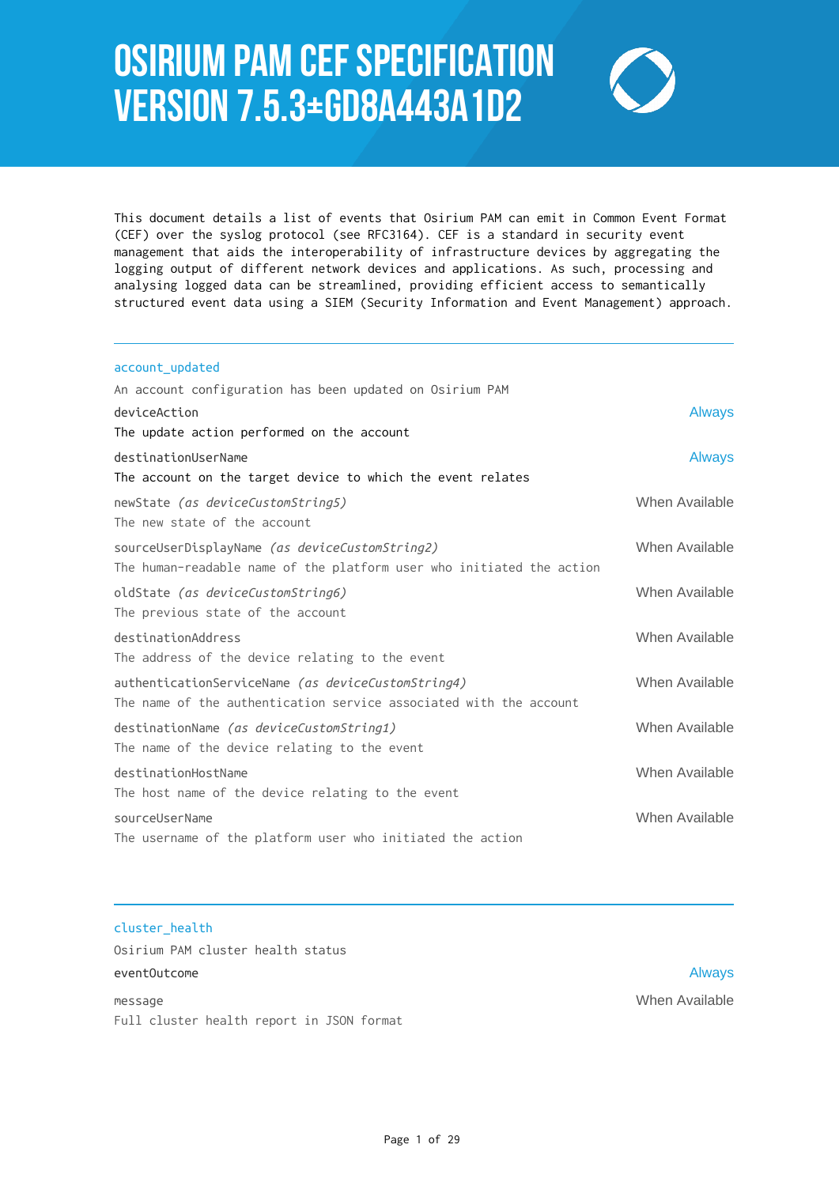# Osirium PAM CEF Specification Version 7.5.3+gd8a443a1d2



This document details a list of events that Osirium PAM can emit in Common Event Format (CEF) over the syslog protocol (see RFC3164). CEF is a standard in security event management that aids the interoperability of infrastructure devices by aggregating the logging output of different network devices and applications. As such, processing and analysing logged data can be streamlined, providing efficient access to semantically structured event data using a SIEM (Security Information and Event Management) approach.

| account_updated                                                       |                |
|-----------------------------------------------------------------------|----------------|
| An account configuration has been updated on Osirium PAM              |                |
| deviceAction                                                          | <b>Always</b>  |
| The update action performed on the account                            |                |
| destinationUserName                                                   | <b>Always</b>  |
| The account on the target device to which the event relates           |                |
| newState (as deviceCustomString5)                                     | When Available |
| The new state of the account                                          |                |
| sourceUserDisplayName (as deviceCustomString2)                        | When Available |
| The human-readable name of the platform user who initiated the action |                |
| oldState (as deviceCustomString6)                                     | When Available |
| The previous state of the account                                     |                |
| destinationAddress                                                    | When Available |
| The address of the device relating to the event                       |                |
| authenticationServiceName (as deviceCustomString4)                    | When Available |
| The name of the authentication service associated with the account    |                |
| destinationName (as deviceCustomString1)                              | When Available |
| The name of the device relating to the event                          |                |
| destinationHostName                                                   | When Available |
| The host name of the device relating to the event                     |                |
| sourceUserName                                                        | When Available |
| The username of the platform user who initiated the action            |                |

cluster\_health Osirium PAM cluster health status eventOutcome Always and the Always and the Always and the Always and the Always and the Always and the Always message When Available

Full cluster health report in JSON format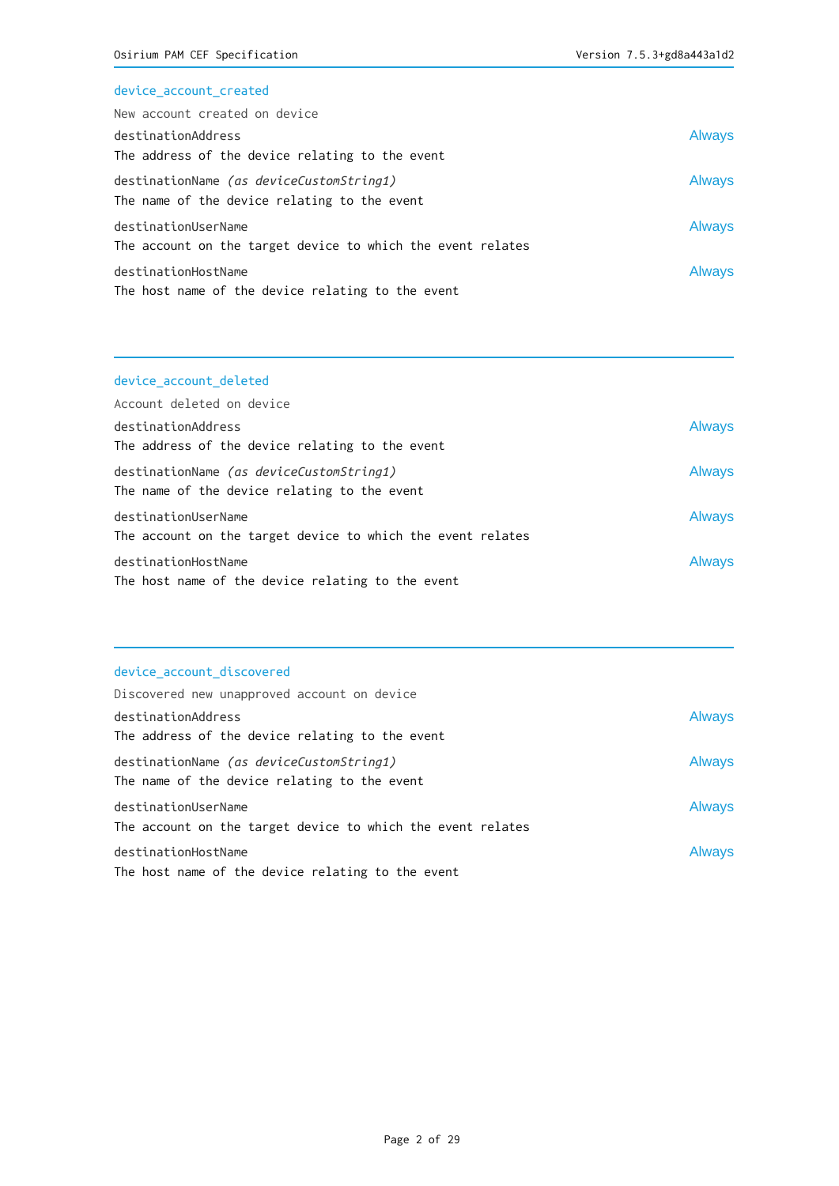# device\_account\_created

| New account created on device                                                            |               |
|------------------------------------------------------------------------------------------|---------------|
| destinationAddress                                                                       | <b>Always</b> |
| The address of the device relating to the event                                          |               |
| destinationName (as deviceCustomString1)<br>The name of the device relating to the event | <b>Always</b> |
| destinationUserName<br>The account on the target device to which the event relates       | <b>Always</b> |
| destinationHostName<br>The host name of the device relating to the event                 | <b>Always</b> |

# device\_account\_deleted

| Account deleted on device                                                                |               |
|------------------------------------------------------------------------------------------|---------------|
| destinationAddress                                                                       | <b>Always</b> |
| The address of the device relating to the event                                          |               |
| destinationName (as deviceCustomString1)<br>The name of the device relating to the event | <b>Always</b> |
| destinationUserName                                                                      | <b>Always</b> |
| The account on the target device to which the event relates                              |               |
| destinationHostName                                                                      | <b>Always</b> |
| The host name of the device relating to the event                                        |               |

# device\_account\_discovered

| Discovered new unapproved account on device                                              |               |
|------------------------------------------------------------------------------------------|---------------|
| destinationAddress                                                                       | <b>Always</b> |
| The address of the device relating to the event                                          |               |
| destinationName (as deviceCustomString1)<br>The name of the device relating to the event | <b>Always</b> |
| destinationUserName                                                                      | <b>Always</b> |
| The account on the target device to which the event relates                              |               |
| destinationHostName<br>The host name of the device relating to the event                 | <b>Always</b> |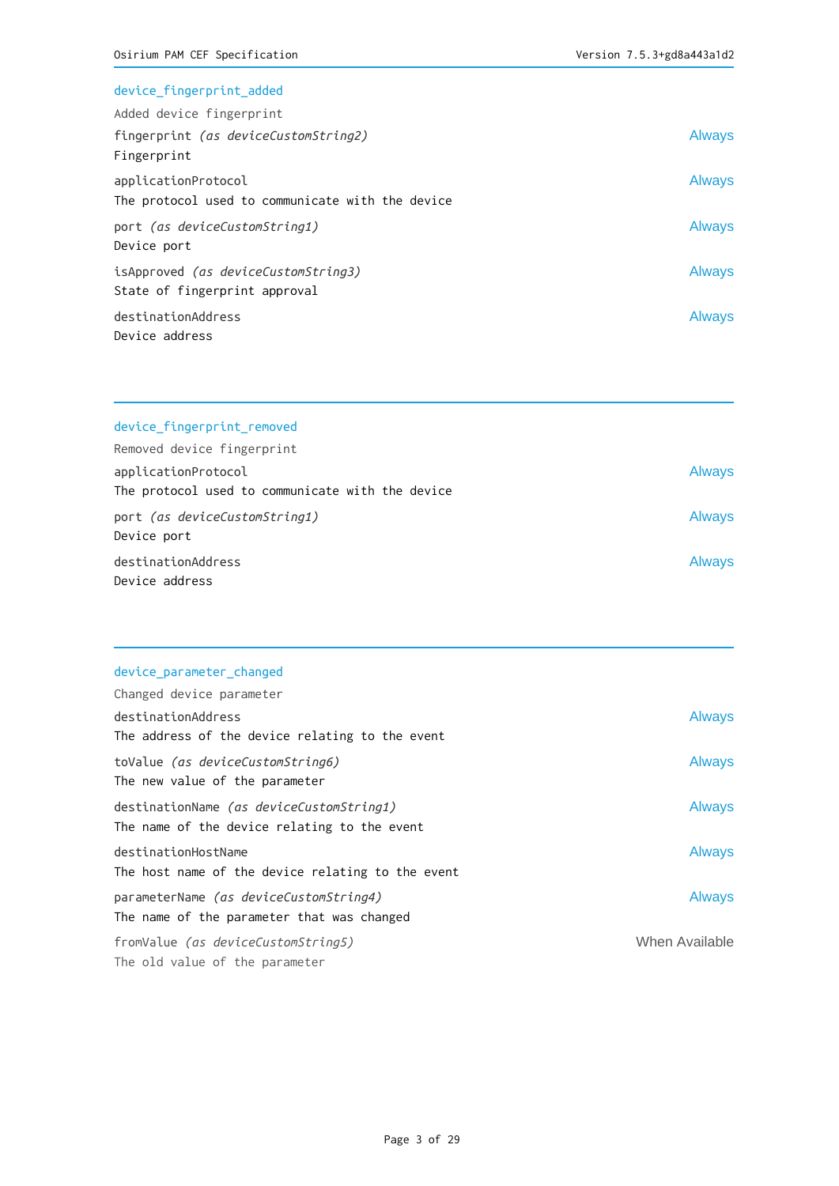| device_fingerprint_added                                                    |               |
|-----------------------------------------------------------------------------|---------------|
| Added device fingerprint                                                    |               |
| fingerprint (as deviceCustomString2)<br>Fingerprint                         | <b>Always</b> |
| applicationProtocol<br>The protocol used to communicate with the device     | <b>Always</b> |
| port (as deviceCustomString1)<br>Device port                                | <b>Always</b> |
| isApproved <i>(as deviceCustomString3)</i><br>State of fingerprint approval | <b>Always</b> |
| destinationAddress<br>Device address                                        | <b>Always</b> |

| device fingerprint removed |  |
|----------------------------|--|
| Removed device fingerprint |  |

| applicationProtocol                              | <b>Always</b> |
|--------------------------------------------------|---------------|
| The protocol used to communicate with the device |               |
| port (as deviceCustomString1)                    | <b>Always</b> |
| Device port                                      |               |
| destinationAddress                               | <b>Always</b> |
| Device address                                   |               |

|  | device_parameter_changed |
|--|--------------------------|
|  |                          |

| Changed device parameter                                                                 |                |
|------------------------------------------------------------------------------------------|----------------|
| destinationAddress                                                                       | <b>Always</b>  |
| The address of the device relating to the event                                          |                |
| toValue (as deviceCustomString6)<br>The new value of the parameter                       | <b>Always</b>  |
| destinationName (as deviceCustomString1)<br>The name of the device relating to the event | <b>Always</b>  |
| destinationHostName<br>The host name of the device relating to the event                 | <b>Always</b>  |
| parameterName (as deviceCustomString4)<br>The name of the parameter that was changed     | <b>Always</b>  |
| fromValue <i>(as deviceCustomString5)</i><br>The old value of the parameter              | When Available |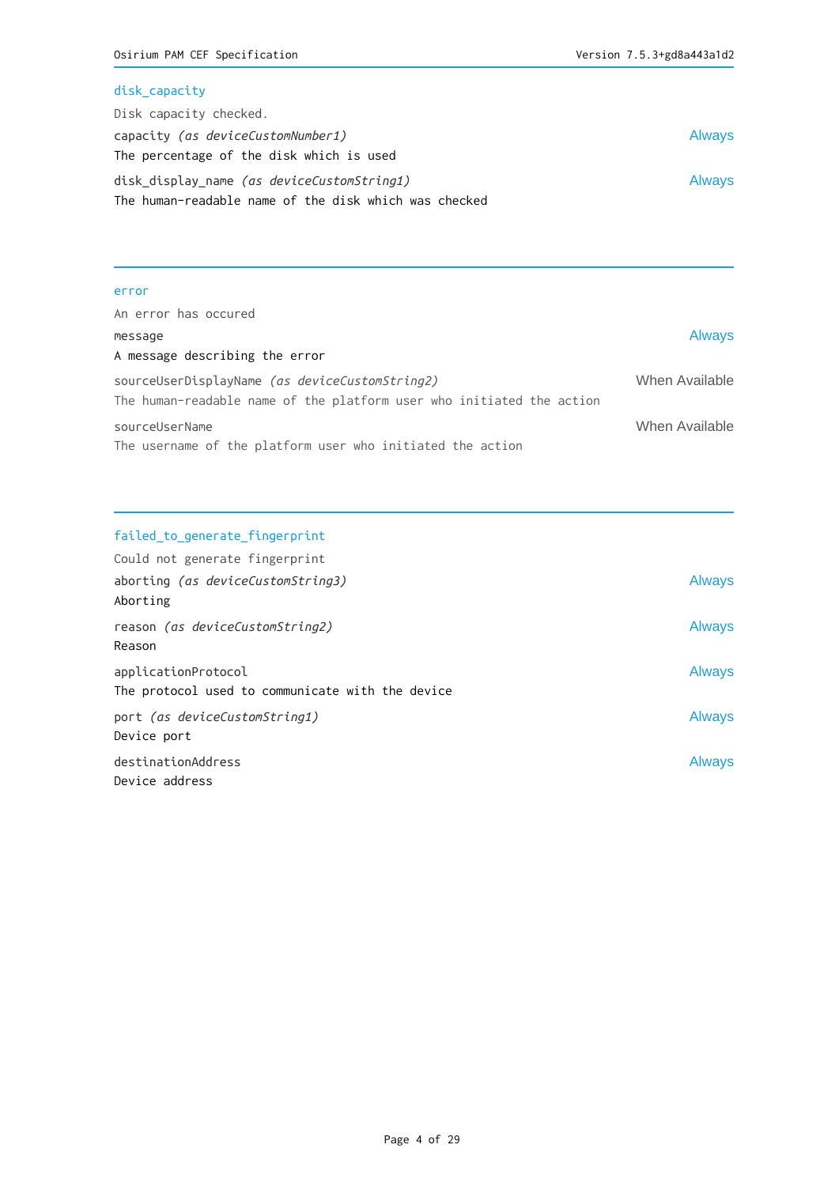## disk\_capacity

| Disk capacity checked.                                |               |
|-------------------------------------------------------|---------------|
| capacity (as deviceCustomNumber1)                     | <b>Always</b> |
| The percentage of the disk which is used              |               |
| disk display name <i>(as deviceCustomString1)</i>     | <b>Always</b> |
| The human-readable name of the disk which was checked |               |

#### error

| An error has occured                                                                                                    |                |
|-------------------------------------------------------------------------------------------------------------------------|----------------|
| message                                                                                                                 | <b>Always</b>  |
| A message describing the error                                                                                          |                |
| sourceUserDisplayName (as deviceCustomString2)<br>The human-readable name of the platform user who initiated the action | When Available |
| sourceUserName<br>The username of the platform user who initiated the action                                            | When Available |

# failed\_to\_generate\_fingerprint

| Could not generate fingerprint                   |               |
|--------------------------------------------------|---------------|
| aborting (as deviceCustomString3)                | Always        |
| Aborting                                         |               |
| reason (as deviceCustomString2)                  | Always        |
| Reason                                           |               |
| applicationProtocol                              | Always        |
| The protocol used to communicate with the device |               |
| port (as deviceCustomString1)                    | <b>Always</b> |
| Device port                                      |               |
| destinationAddress                               | Always        |
| Device address                                   |               |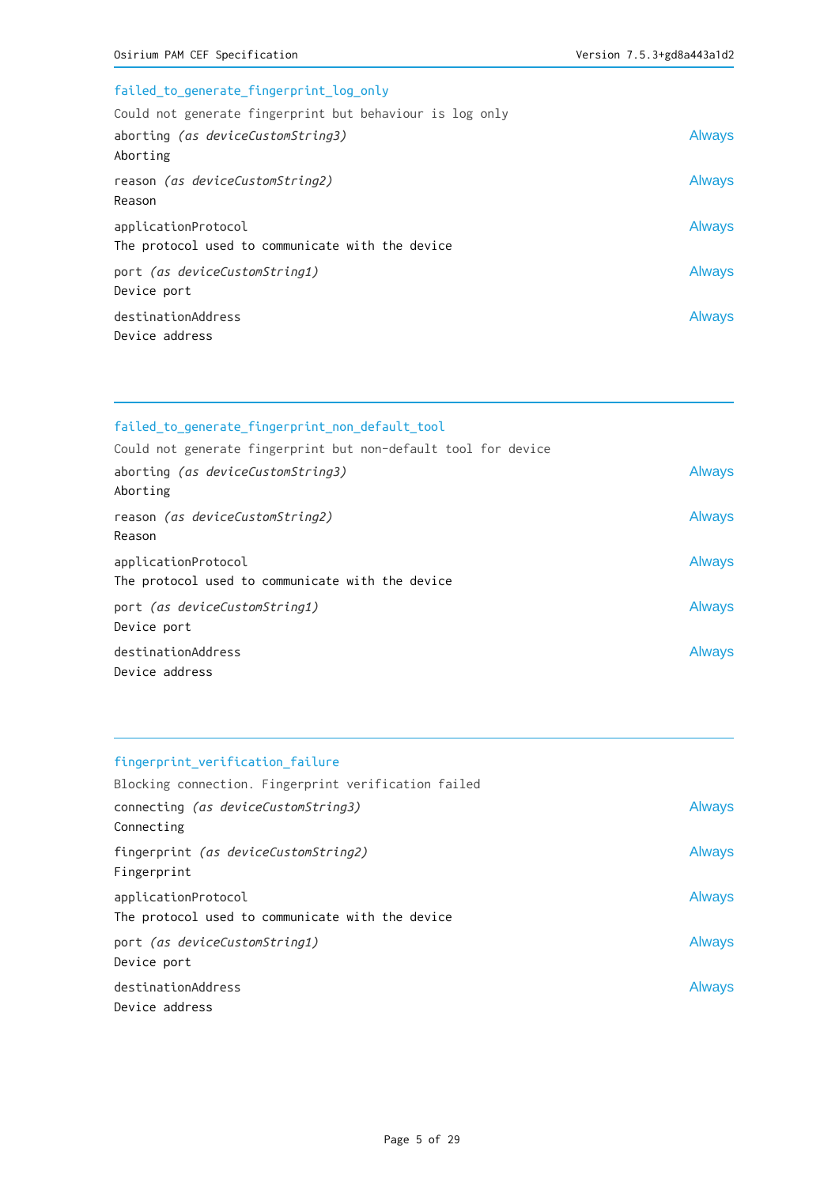| failed_to_generate_fingerprint_log_only                  |               |
|----------------------------------------------------------|---------------|
| Could not generate fingerprint but behaviour is log only |               |
| aborting (as deviceCustomString3)                        | <b>Always</b> |
| Aborting                                                 |               |
| reason (as deviceCustomString2)                          | <b>Always</b> |
| Reason                                                   |               |
| applicationProtocol                                      | <b>Always</b> |
| The protocol used to communicate with the device         |               |
| port (as deviceCustomString1)                            | <b>Always</b> |
| Device port                                              |               |
| destinationAddress                                       | <b>Always</b> |
| Device address                                           |               |

| failed_to_generate_fingerprint_non_default_tool                |               |
|----------------------------------------------------------------|---------------|
| Could not generate fingerprint but non-default tool for device |               |
| aborting <i>(as deviceCustomString3)</i>                       | <b>Always</b> |
| Aborting                                                       |               |
| reason (as deviceCustomString2)                                | <b>Always</b> |
| Reason                                                         |               |
| applicationProtocol                                            | <b>Always</b> |
| The protocol used to communicate with the device               |               |
| port (as deviceCustomString1)                                  | Always        |
| Device port                                                    |               |
| destinationAddress                                             | <b>Always</b> |
| Device address                                                 |               |

# fingerprint\_verification\_failure

| Blocking connection. Fingerprint verification failed |               |
|------------------------------------------------------|---------------|
| connecting (as deviceCustomString3)                  | <b>Always</b> |
| Connecting                                           |               |
| fingerprint (as deviceCustomString2)<br>Fingerprint  | <b>Always</b> |
| applicationProtocol                                  | <b>Always</b> |
| The protocol used to communicate with the device     |               |
| port (as deviceCustomString1)<br>Device port         | <b>Always</b> |
| destinationAddress<br>Device address                 | Always        |
|                                                      |               |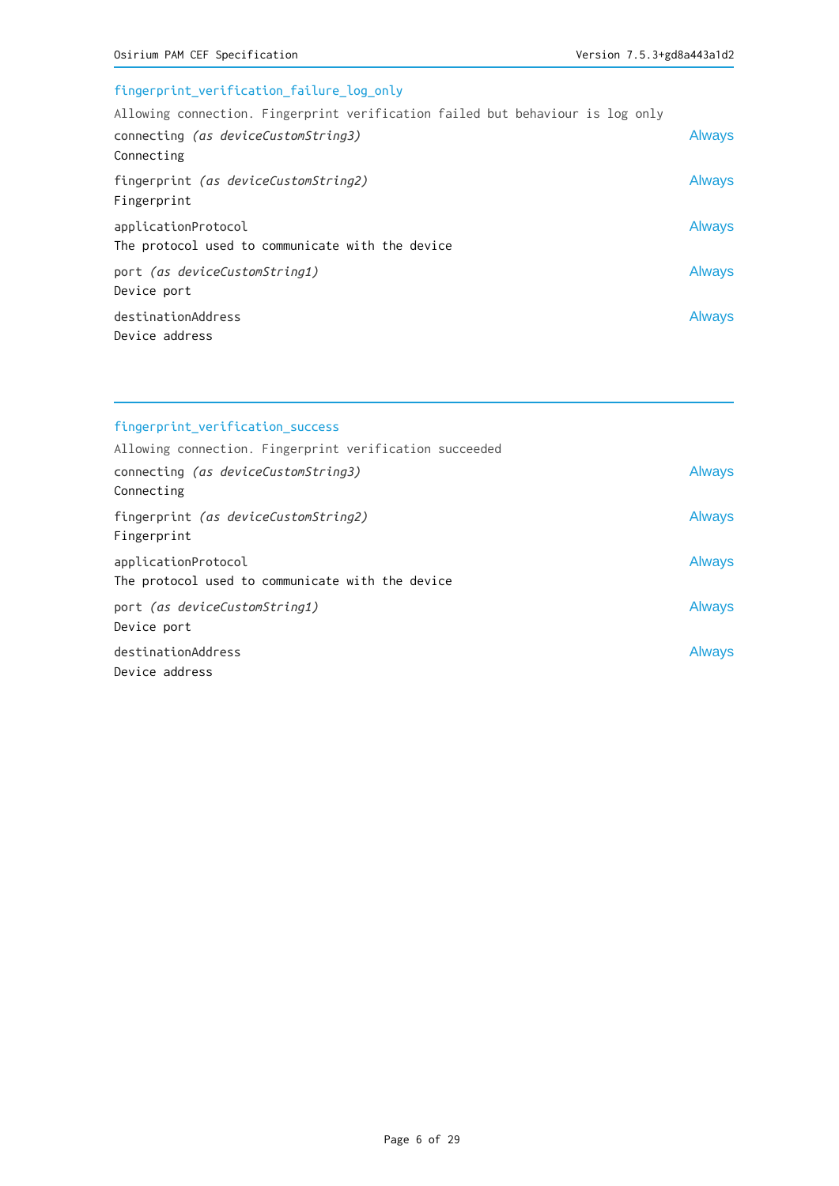# fingerprint\_verification\_failure\_log\_only Allowing connection. Fingerprint verification failed but behaviour is log only connecting (as deviceCustomString3) and always Always Connecting fingerprint (as deviceCustomString2) and the set of the set of the set of the set of the set of the set of the set of the set of the set of the set of the set of the set of the set of the set of the set of the set of the s Fingerprint applicationProtocol and the set of the set of the set of the set of the set of the set of the set of the set o The protocol used to communicate with the device port (as deviceCustomString1) and the control of the control of the control of the control of the control of the control of the control of the control of the control of the control of the control of the control of the cont Device port destinationAddress Always Device address

| fingerprint_verification_success                                        |               |
|-------------------------------------------------------------------------|---------------|
| Allowing connection. Fingerprint verification succeeded                 |               |
| connecting (as deviceCustomString3)<br>Connecting                       | <b>Always</b> |
| fingerprint (as deviceCustomString2)<br>Fingerprint                     | <b>Always</b> |
| applicationProtocol<br>The protocol used to communicate with the device | <b>Always</b> |
| port (as deviceCustomString1)<br>Device port                            | <b>Always</b> |
| destinationAddress<br>Device address                                    | <b>Always</b> |

#### Page 6 of 29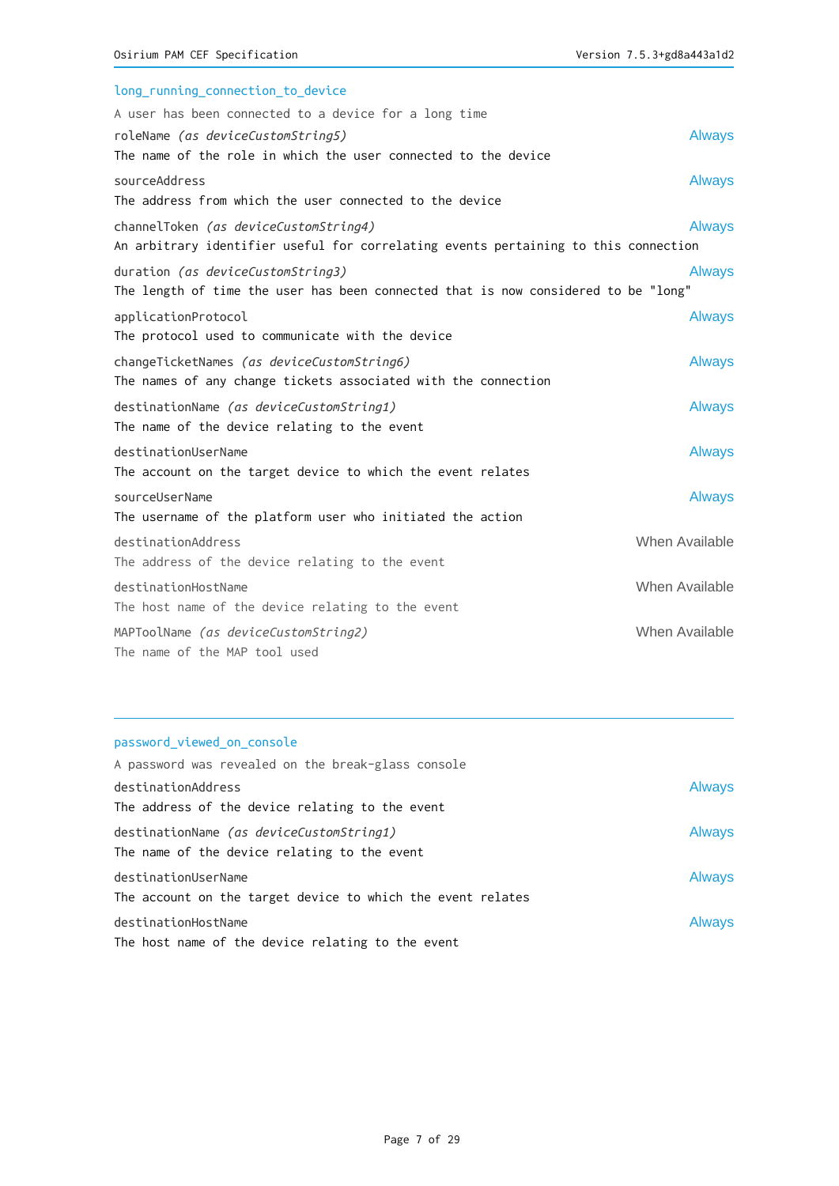| long_running_connection_to_device                                                   |                |
|-------------------------------------------------------------------------------------|----------------|
| A user has been connected to a device for a long time                               |                |
| roleName (as deviceCustomString5)                                                   | <b>Always</b>  |
| The name of the role in which the user connected to the device                      |                |
| sourceAddress                                                                       | <b>Always</b>  |
| The address from which the user connected to the device                             |                |
| channelToken (as deviceCustomString4)                                               | <b>Always</b>  |
| An arbitrary identifier useful for correlating events pertaining to this connection |                |
| duration (as deviceCustomString3)                                                   | <b>Always</b>  |
| The length of time the user has been connected that is now considered to be "long"  |                |
| applicationProtocol                                                                 | <b>Always</b>  |
| The protocol used to communicate with the device                                    |                |
| changeTicketNames (as deviceCustomString6)                                          | <b>Always</b>  |
| The names of any change tickets associated with the connection                      |                |
| destinationName (as deviceCustomString1)                                            | <b>Always</b>  |
| The name of the device relating to the event                                        |                |
| destinationUserName                                                                 | <b>Always</b>  |
| The account on the target device to which the event relates                         |                |
| sourceUserName                                                                      | <b>Always</b>  |
| The username of the platform user who initiated the action                          |                |
| destinationAddress                                                                  | When Available |
| The address of the device relating to the event                                     |                |
| destinationHostName                                                                 | When Available |
| The host name of the device relating to the event                                   |                |
| MAPToolName (as deviceCustomString2)                                                | When Available |
| The name of the MAP tool used                                                       |                |

# password\_viewed\_on\_console

| A password was revealed on the break-glass console                                              |               |
|-------------------------------------------------------------------------------------------------|---------------|
| destinationAddress                                                                              | <b>Always</b> |
| The address of the device relating to the event                                                 |               |
| destinationName <i>(as deviceCustomString1)</i><br>The name of the device relating to the event | <b>Always</b> |
| destinationUserName<br>The account on the target device to which the event relates              | <b>Always</b> |
| destinationHostName<br>The host name of the device relating to the event                        | <b>Always</b> |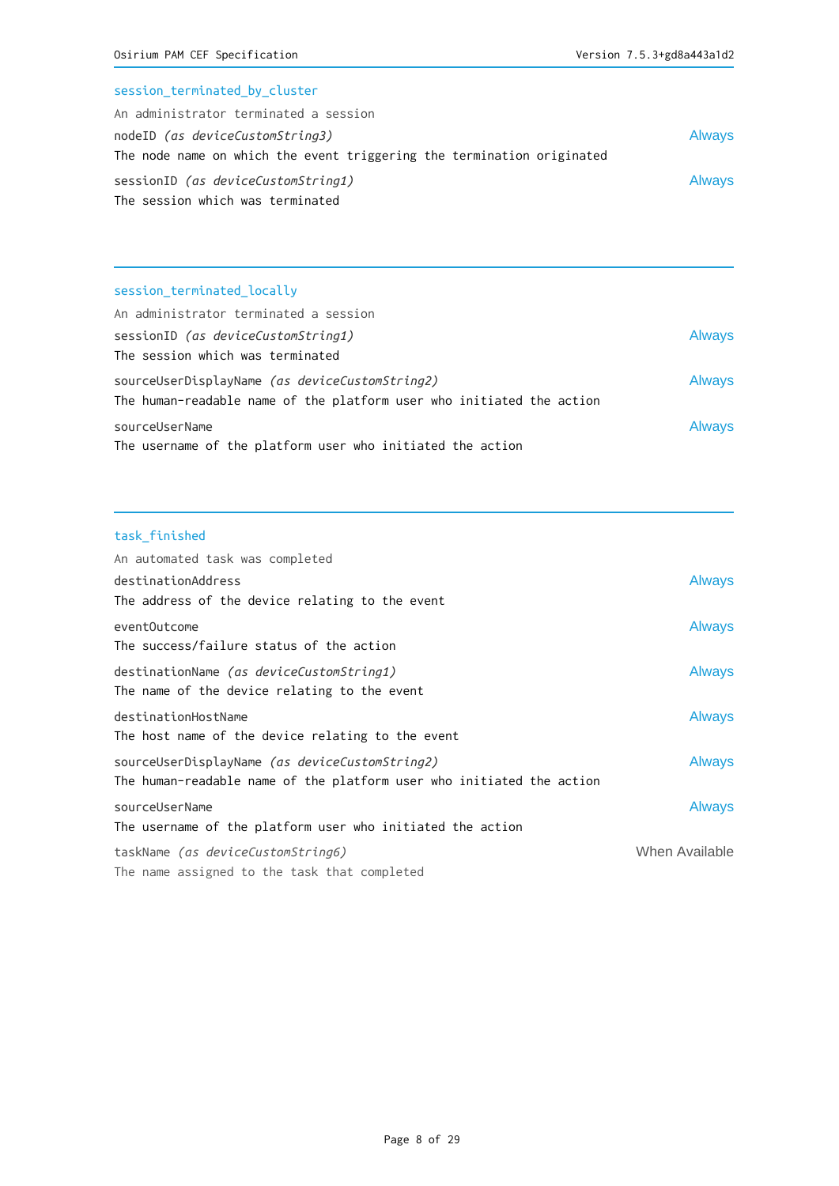# session\_terminated\_by\_cluster

| An administrator terminated a session                                  |               |
|------------------------------------------------------------------------|---------------|
| nodeID <i>(as deviceCustomString3)</i>                                 | <b>Always</b> |
| The node name on which the event triggering the termination originated |               |
| sessionID <i>(as deviceCustomString1)</i>                              | <b>Always</b> |
| The session which was terminated                                       |               |

# session\_terminated\_locally

| An administrator terminated a session                                 |  |
|-----------------------------------------------------------------------|--|
| <b>Always</b><br>sessionID (as deviceCustomString1)                   |  |
| The session which was terminated                                      |  |
| <b>Always</b><br>sourceUserDisplayName (as deviceCustomString2)       |  |
| The human-readable name of the platform user who initiated the action |  |
| <b>Always</b><br>sourceUserName                                       |  |
| The username of the platform user who initiated the action            |  |

# task\_finished

| An automated task was completed                                       |                |
|-----------------------------------------------------------------------|----------------|
| destinationAddress                                                    | Always         |
| The address of the device relating to the event                       |                |
| eventOutcome                                                          | <b>Always</b>  |
| The success/failure status of the action                              |                |
| destinationName <i>(as deviceCustomString1)</i>                       | <b>Always</b>  |
| The name of the device relating to the event                          |                |
| destinationHostName                                                   | Always         |
| The host name of the device relating to the event                     |                |
| sourceUserDisplayName (as deviceCustomString2)                        | Always         |
| The human-readable name of the platform user who initiated the action |                |
| sourceUserName                                                        | Always         |
| The username of the platform user who initiated the action            |                |
| taskName (as deviceCustomString6)                                     | When Available |
| The name assigned to the task that completed                          |                |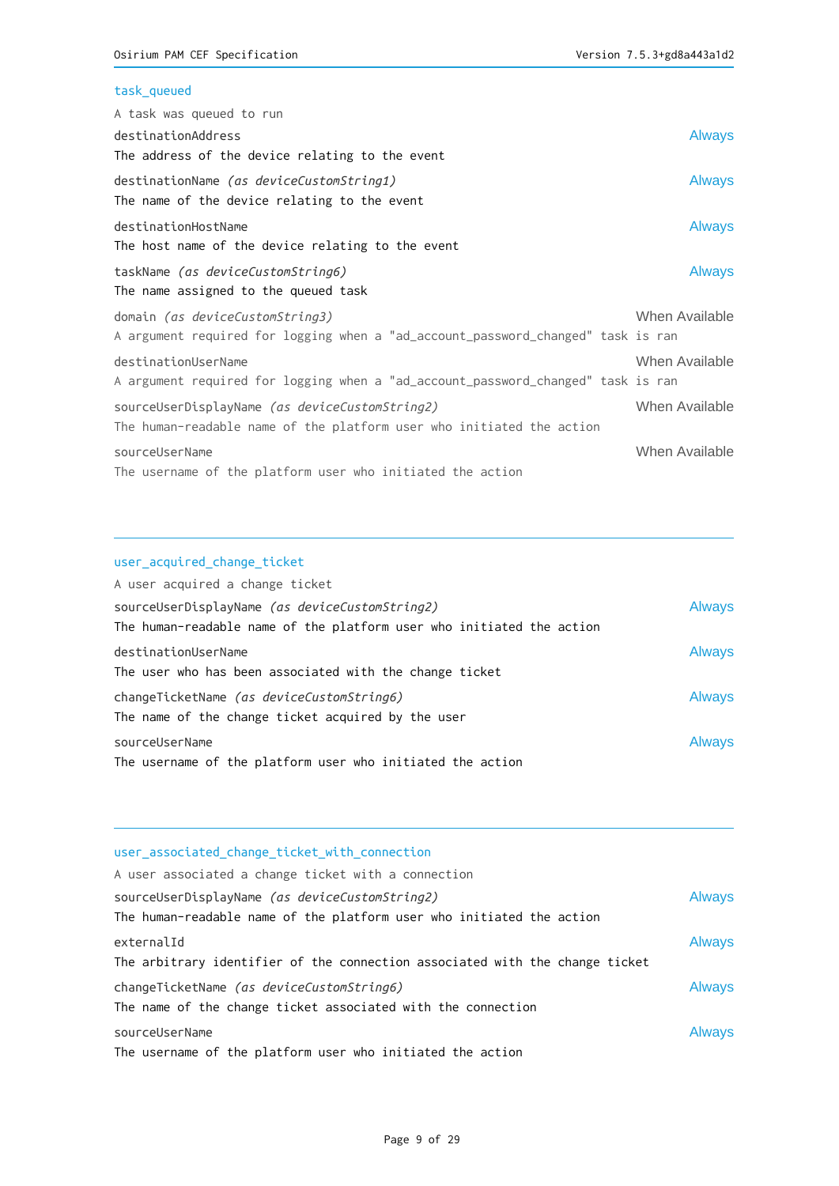## task\_queued

| A task was queued to run                                                         |                |
|----------------------------------------------------------------------------------|----------------|
| destinationAddress                                                               | <b>Always</b>  |
| The address of the device relating to the event                                  |                |
| destinationName (as deviceCustomString1)                                         | <b>Always</b>  |
| The name of the device relating to the event                                     |                |
| destinationHostName                                                              | <b>Always</b>  |
| The host name of the device relating to the event                                |                |
| taskName (as deviceCustomString6)                                                | <b>Always</b>  |
| The name assigned to the queued task                                             |                |
| domain (as deviceCustomString3)                                                  | When Available |
| A argument required for logging when a "ad_account_password_changed" task is ran |                |
| destinationUserName                                                              | When Available |
| A argument required for logging when a "ad_account_password_changed" task is ran |                |
| sourceUserDisplayName (as deviceCustomString2)                                   | When Available |
| The human-readable name of the platform user who initiated the action            |                |
| sourceUserName                                                                   | When Available |
| The username of the platform user who initiated the action                       |                |

## user\_acquired\_change\_ticket

| A user acquired a change ticket                                       |        |
|-----------------------------------------------------------------------|--------|
| sourceUserDisplayName (as deviceCustomString2)                        | Always |
| The human-readable name of the platform user who initiated the action |        |
| destinationUserName                                                   | Always |
| The user who has been associated with the change ticket               |        |
| changeTicketName (as deviceCustomString6)                             | Always |
| The name of the change ticket acquired by the user                    |        |
| sourceUserName                                                        | Always |
| The username of the platform user who initiated the action            |        |

| user associated change ticket with connection                                |               |
|------------------------------------------------------------------------------|---------------|
| A user associated a change ticket with a connection                          |               |
| sourceUserDisplayName (as deviceCustomString2)                               | <b>Always</b> |
| The human-readable name of the platform user who initiated the action        |               |
| externalId                                                                   | <b>Always</b> |
| The arbitrary identifier of the connection associated with the change ticket |               |
| changeTicketName (as deviceCustomString6)                                    | <b>Always</b> |
| The name of the change ticket associated with the connection                 |               |
| sourceUserName                                                               | <b>Always</b> |
| The username of the platform user who initiated the action                   |               |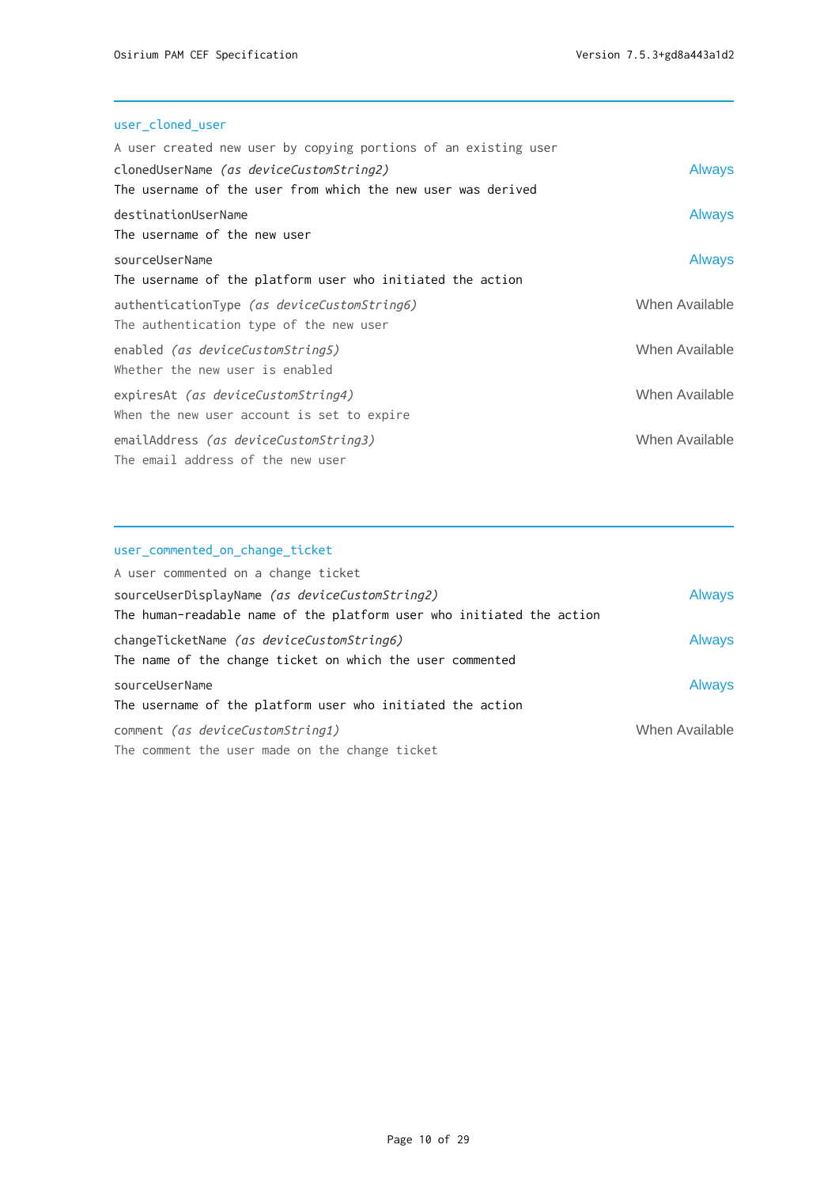# user\_cloned\_user

| A user created new user by copying portions of an existing user |                |
|-----------------------------------------------------------------|----------------|
| clonedUserName <i>(as deviceCustomString2)</i>                  | <b>Always</b>  |
| The username of the user from which the new user was derived    |                |
| destinationUserName                                             | <b>Always</b>  |
| The username of the new user                                    |                |
| sourceUserName                                                  | <b>Always</b>  |
| The username of the platform user who initiated the action      |                |
| authenticationType (as deviceCustomString6)                     | When Available |
| The authentication type of the new user                         |                |
| enabled <i>(as deviceCustomString5)</i>                         | When Available |
| Whether the new user is enabled                                 |                |
| expiresAt (as deviceCustomString4)                              | When Available |
| When the new user account is set to expire                      |                |
| emailAddress (as deviceCustomString3)                           | When Available |
| The email address of the new user                               |                |
|                                                                 |                |

# user\_commented\_on\_change\_ticket

| A user commented on a change ticket                                                                    |                |
|--------------------------------------------------------------------------------------------------------|----------------|
| sourceUserDisplayName (as deviceCustomString2)                                                         | <b>Always</b>  |
| The human-readable name of the platform user who initiated the action                                  |                |
| changeTicketName (as deviceCustomString6)<br>The name of the change ticket on which the user commented | Always         |
| sourceUserName                                                                                         | Always         |
| The username of the platform user who initiated the action                                             |                |
| comment (as deviceCustomString1)                                                                       | When Available |
| The comment the user made on the change ticket                                                         |                |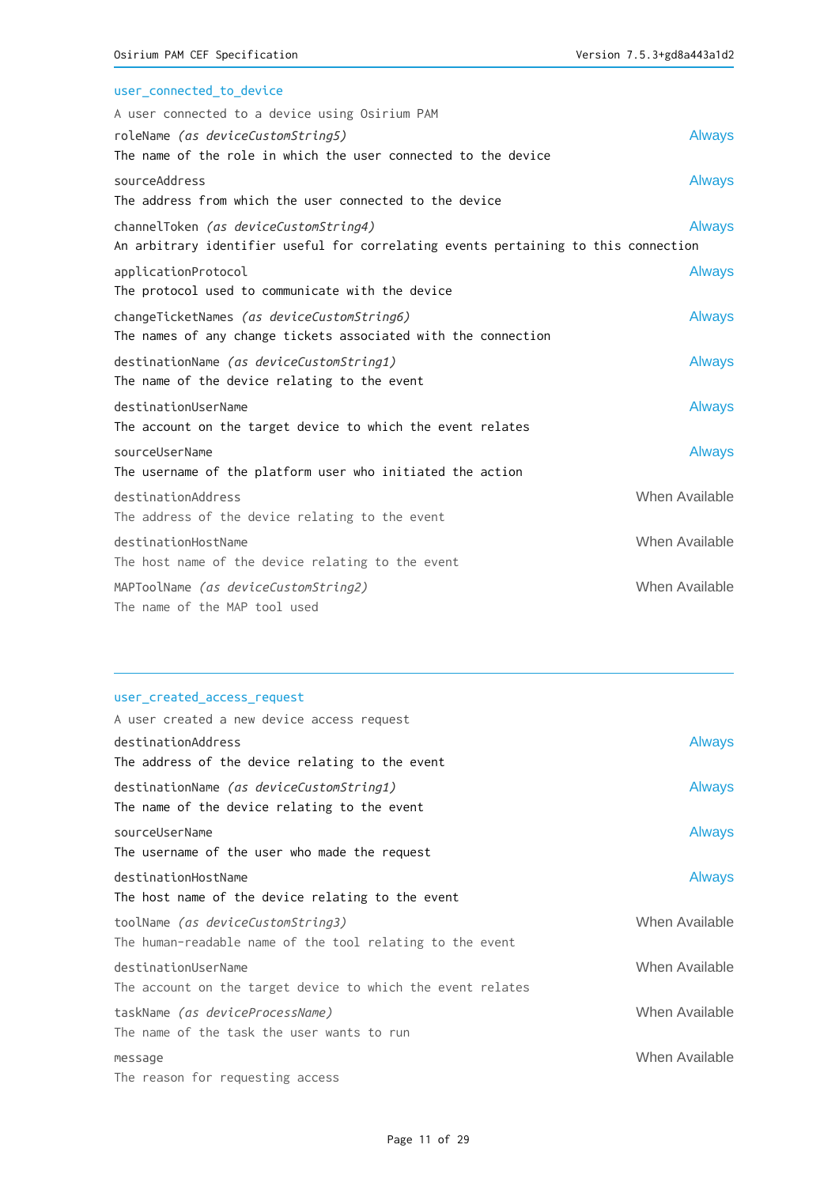| user connected to device                                                            |                |
|-------------------------------------------------------------------------------------|----------------|
| A user connected to a device using Osirium PAM                                      |                |
| roleName (as deviceCustomString5)                                                   | <b>Always</b>  |
| The name of the role in which the user connected to the device                      |                |
| sourceAddress                                                                       | <b>Always</b>  |
| The address from which the user connected to the device                             |                |
| channelToken (as deviceCustomString4)                                               | Always         |
| An arbitrary identifier useful for correlating events pertaining to this connection |                |
| applicationProtocol                                                                 | <b>Always</b>  |
| The protocol used to communicate with the device                                    |                |
| changeTicketNames (as deviceCustomString6)                                          | <b>Always</b>  |
| The names of any change tickets associated with the connection                      |                |
| destinationName (as deviceCustomString1)                                            | <b>Always</b>  |
| The name of the device relating to the event                                        |                |
| destinationUserName                                                                 | <b>Always</b>  |
| The account on the target device to which the event relates                         |                |
| sourceUserName                                                                      | <b>Always</b>  |
| The username of the platform user who initiated the action                          |                |
| destinationAddress                                                                  | When Available |
| The address of the device relating to the event                                     |                |
| destinationHostName                                                                 | When Available |
| The host name of the device relating to the event                                   |                |
| MAPToolName (as deviceCustomString2)                                                | When Available |
| The name of the MAP tool used                                                       |                |

## user\_created\_access\_request

| A user created a new device access request                  |                |
|-------------------------------------------------------------|----------------|
| destinationAddress                                          | <b>Always</b>  |
| The address of the device relating to the event             |                |
| destinationName <i>(as deviceCustomString1)</i>             | <b>Always</b>  |
| The name of the device relating to the event                |                |
| sourceUserName                                              | <b>Always</b>  |
| The username of the user who made the request               |                |
| destinationHostName                                         | <b>Always</b>  |
| The host name of the device relating to the event           |                |
| toolName (as deviceCustomString3)                           | When Available |
| The human-readable name of the tool relating to the event   |                |
| destinationUserName                                         | When Available |
| The account on the target device to which the event relates |                |
| taskName (as deviceProcessName)                             | When Available |
| The name of the task the user wants to run                  |                |
| message                                                     | When Available |
| The reason for requesting access                            |                |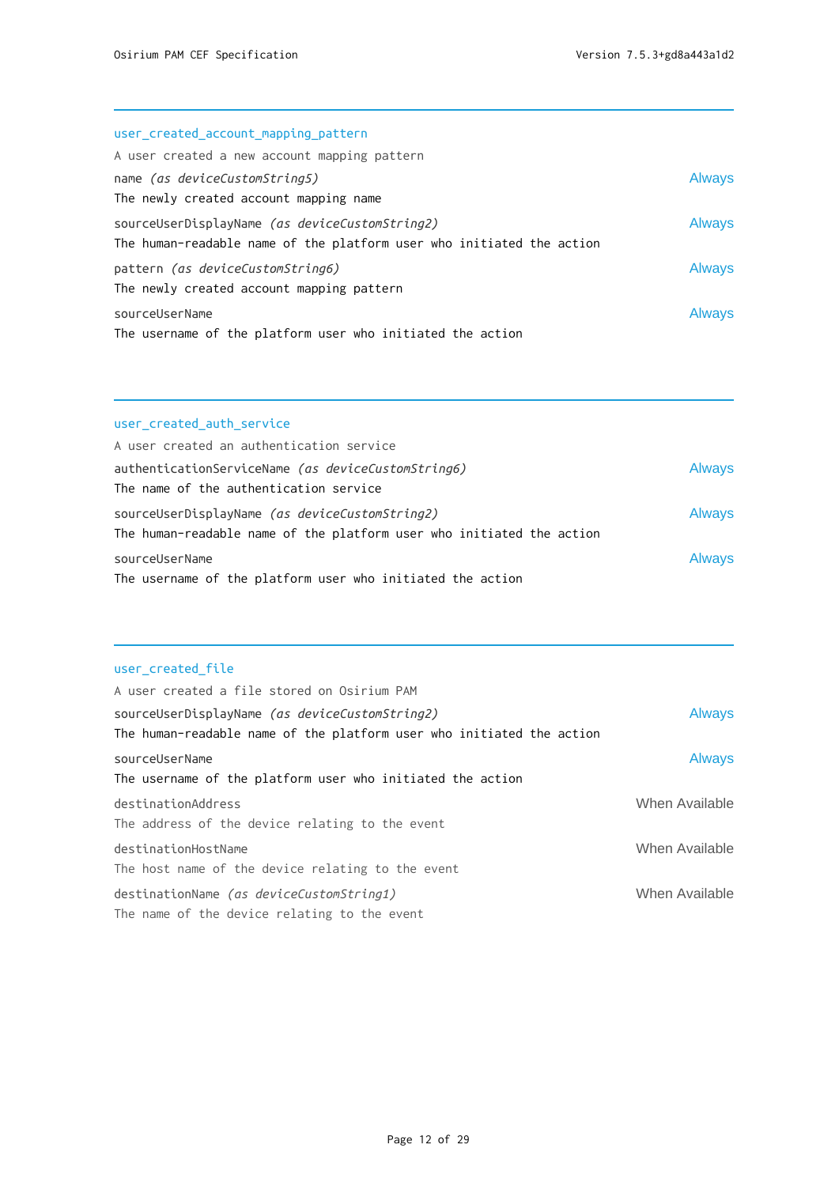| user_created_account_mapping_pattern                                  |               |
|-----------------------------------------------------------------------|---------------|
| A user created a new account mapping pattern                          |               |
| name (as deviceCustomString5)                                         | <b>Always</b> |
| The newly created account mapping name                                |               |
| sourceUserDisplayName (as deviceCustomString2)                        | <b>Always</b> |
| The human-readable name of the platform user who initiated the action |               |
| pattern (as deviceCustomString6)                                      | <b>Always</b> |
| The newly created account mapping pattern                             |               |
| sourceUserName                                                        | <b>Always</b> |
| The username of the platform user who initiated the action            |               |

## user\_created\_auth\_service

| A user created an authentication service                                                                                |               |
|-------------------------------------------------------------------------------------------------------------------------|---------------|
| authenticationServiceName (as deviceCustomString6)<br>The name of the authentication service                            | <b>Always</b> |
| sourceUserDisplayName (as deviceCustomString2)<br>The human-readable name of the platform user who initiated the action | <b>Always</b> |
| sourceUserName<br>The username of the platform user who initiated the action                                            | <b>Always</b> |

## user\_created\_file

| A user created a file stored on Osirium PAM                                                     |                |
|-------------------------------------------------------------------------------------------------|----------------|
| sourceUserDisplayName <i>(as deviceCustomString2)</i>                                           | <b>Always</b>  |
| The human-readable name of the platform user who initiated the action                           |                |
| sourceUserName<br>The username of the platform user who initiated the action                    | <b>Always</b>  |
| destinationAddress<br>The address of the device relating to the event                           | When Available |
| destinationHostName<br>The host name of the device relating to the event                        | When Available |
| destinationName <i>(as deviceCustomString1)</i><br>The name of the device relating to the event | When Available |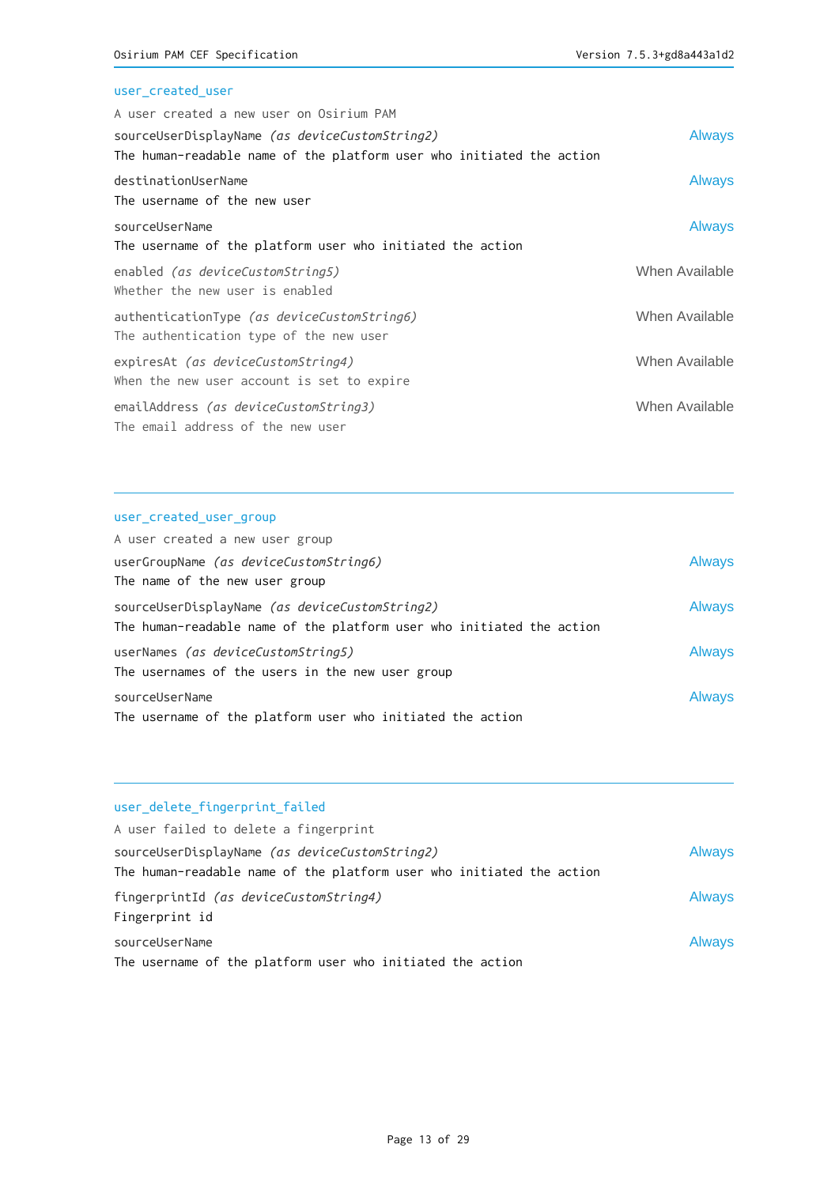# user\_created\_user

| A user created a new user on Osirium PAM                              |                |
|-----------------------------------------------------------------------|----------------|
| sourceUserDisplayName (as deviceCustomString2)                        | <b>Always</b>  |
| The human-readable name of the platform user who initiated the action |                |
| destinationUserName                                                   | <b>Always</b>  |
| The username of the new user                                          |                |
| sourceUserName                                                        | <b>Always</b>  |
| The username of the platform user who initiated the action            |                |
| enabled <i>(as deviceCustomString5)</i>                               | When Available |
| Whether the new user is enabled                                       |                |
| authenticationType (as deviceCustomString6)                           | When Available |
| The authentication type of the new user                               |                |
| expiresAt (as deviceCustomString4)                                    | When Available |
| When the new user account is set to expire                            |                |
| emailAddress (as deviceCustomString3)                                 | When Available |
| The email address of the new user                                     |                |

## user\_created\_user\_group

| A user created a new user group                                       |               |
|-----------------------------------------------------------------------|---------------|
| userGroupName (as deviceCustomString6)                                | <b>Always</b> |
| The name of the new user group                                        |               |
| sourceUserDisplayName (as deviceCustomString2)                        | <b>Always</b> |
| The human-readable name of the platform user who initiated the action |               |
| userNames (as deviceCustomString5)                                    | <b>Always</b> |
| The usernames of the users in the new user group                      |               |
| sourceUserName                                                        | <b>Always</b> |
| The username of the platform user who initiated the action            |               |

## user\_delete\_fingerprint\_failed

| A user failed to delete a fingerprint                                                                                   |               |
|-------------------------------------------------------------------------------------------------------------------------|---------------|
| sourceUserDisplayName (as deviceCustomString2)<br>The human-readable name of the platform user who initiated the action | <b>Always</b> |
| fingerprintId <i>(as deviceCustomString4)</i><br>Fingerprint id                                                         | <b>Always</b> |
| sourceUserName<br>The username of the platform user who initiated the action                                            | <b>Always</b> |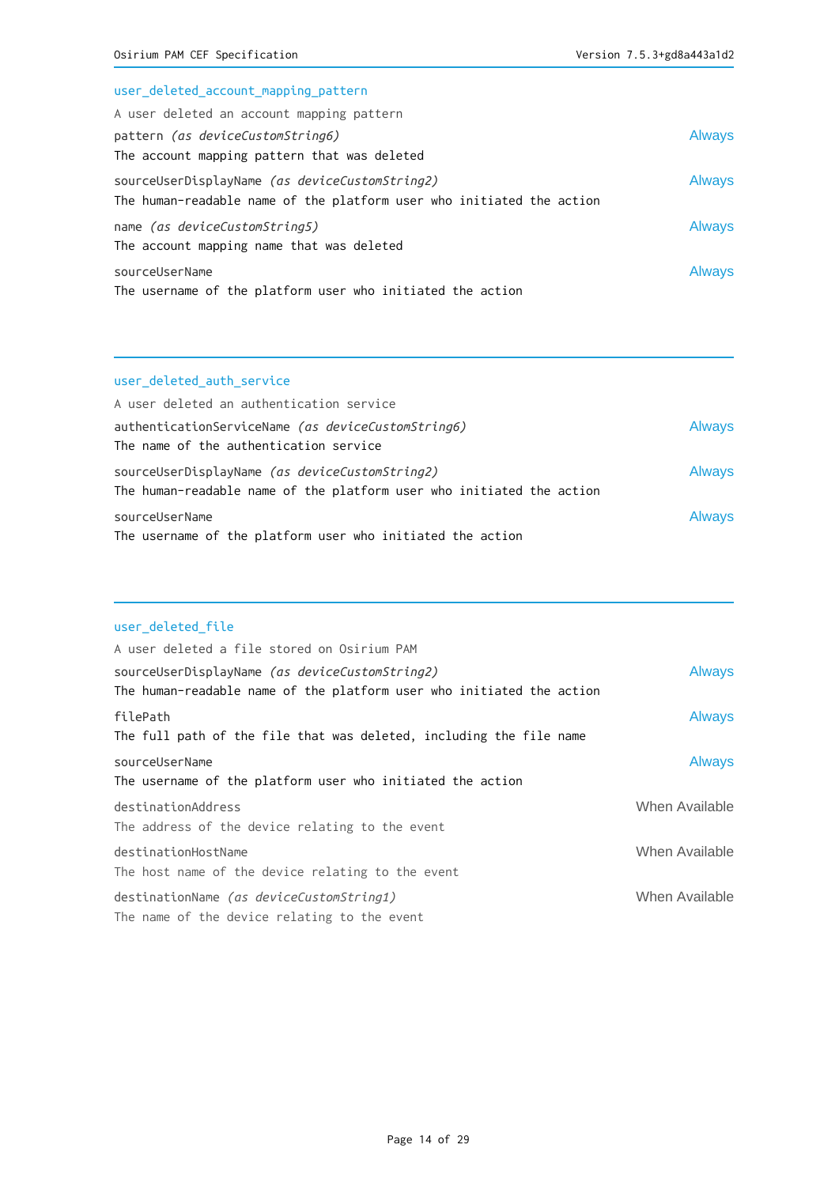| user_deleted_account_mapping_pattern                                  |               |
|-----------------------------------------------------------------------|---------------|
| A user deleted an account mapping pattern                             |               |
| pattern <i>(as deviceCustomString6)</i>                               | <b>Always</b> |
| The account mapping pattern that was deleted                          |               |
| sourceUserDisplayName (as deviceCustomString2)                        | <b>Always</b> |
| The human-readable name of the platform user who initiated the action |               |
| name (as deviceCustomString5)                                         | <b>Always</b> |
| The account mapping name that was deleted                             |               |
| sourceUserName                                                        | <b>Always</b> |
| The username of the platform user who initiated the action            |               |

## user\_deleted\_auth\_service

| A user deleted an authentication service                                                                                |               |
|-------------------------------------------------------------------------------------------------------------------------|---------------|
| authenticationServiceName (as deviceCustomString6)<br>The name of the authentication service                            | <b>Always</b> |
| sourceUserDisplayName (as deviceCustomString2)<br>The human-readable name of the platform user who initiated the action | <b>Always</b> |
| sourceUserName<br>The username of the platform user who initiated the action                                            | <b>Always</b> |

## user\_deleted\_file

| A user deleted a file stored on Osirium PAM                           |                |
|-----------------------------------------------------------------------|----------------|
| sourceUserDisplayName (as deviceCustomString2)                        | <b>Always</b>  |
| The human-readable name of the platform user who initiated the action |                |
| filePath                                                              | <b>Always</b>  |
| The full path of the file that was deleted, including the file name   |                |
| sourceUserName                                                        | <b>Always</b>  |
| The username of the platform user who initiated the action            |                |
| destinationAddress                                                    | When Available |
| The address of the device relating to the event                       |                |
| destinationHostName                                                   | When Available |
| The host name of the device relating to the event                     |                |
| destinationName (as deviceCustomString1)                              | When Available |
| The name of the device relating to the event                          |                |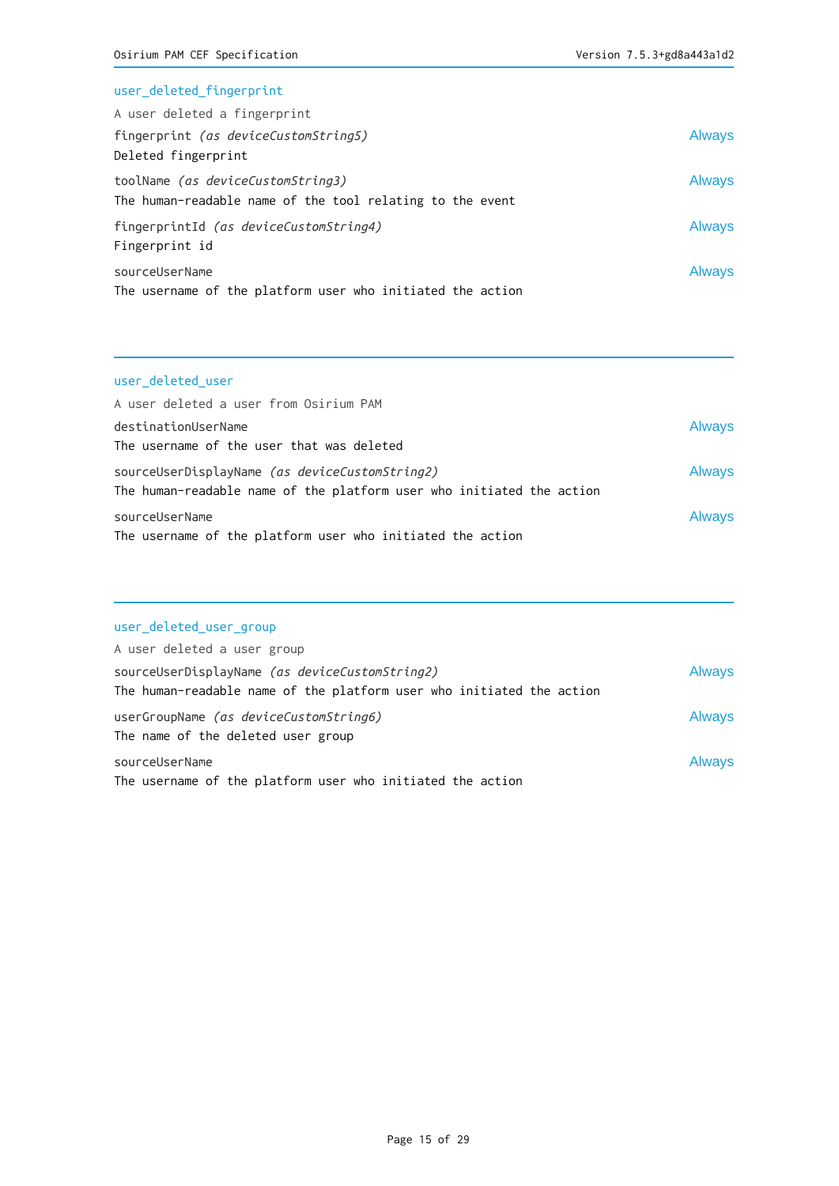#### user\_deleted\_fingerprint

| A user deleted a fingerprint                               |        |
|------------------------------------------------------------|--------|
| fingerprint <i>(as deviceCustomString5)</i>                | Always |
| Deleted fingerprint                                        |        |
| toolName (as deviceCustomString3)                          | Always |
| The human-readable name of the tool relating to the event  |        |
| fingerprintId (as deviceCustomString4)                     | Always |
| Fingerprint id                                             |        |
| sourceUserName                                             | Always |
| The username of the platform user who initiated the action |        |

# user\_deleted\_user

| A user deleted a user from Osirium PAM                                |               |
|-----------------------------------------------------------------------|---------------|
| destinationUserName                                                   | <b>Always</b> |
| The username of the user that was deleted                             |               |
| sourceUserDisplayName (as deviceCustomString2)                        | <b>Always</b> |
| The human-readable name of the platform user who initiated the action |               |
| sourceUserName                                                        | <b>Always</b> |
| The username of the platform user who initiated the action            |               |

## user\_deleted\_user\_group

| A user deleted a user group                                           |               |
|-----------------------------------------------------------------------|---------------|
| sourceUserDisplayName (as deviceCustomString2)                        | <b>Always</b> |
| The human-readable name of the platform user who initiated the action |               |
| userGroupName (as deviceCustomString6)                                | <b>Always</b> |
| The name of the deleted user group                                    |               |
| sourceUserName                                                        | <b>Always</b> |
| The username of the platform user who initiated the action            |               |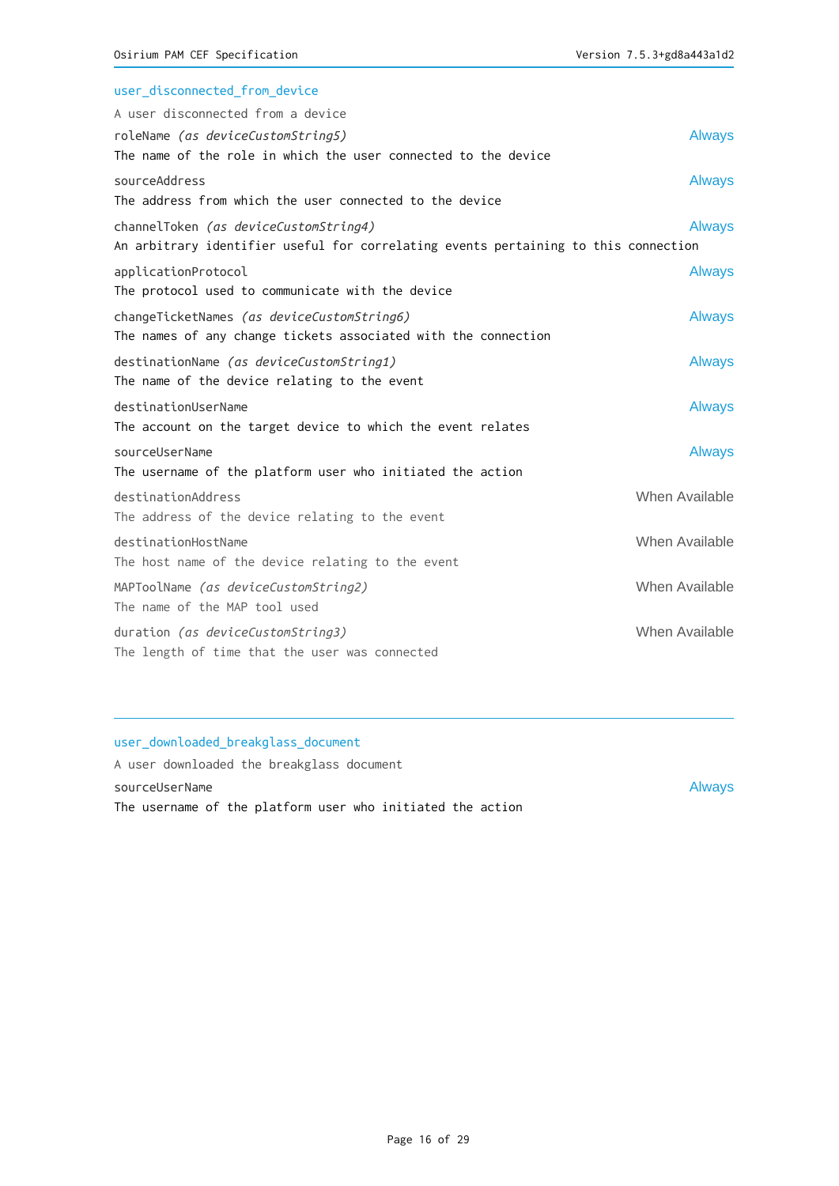| user_disconnected_from_device                                                       |                |
|-------------------------------------------------------------------------------------|----------------|
| A user disconnected from a device                                                   |                |
| roleName (as deviceCustomString5)                                                   | <b>Always</b>  |
| The name of the role in which the user connected to the device                      |                |
| sourceAddress                                                                       | <b>Always</b>  |
| The address from which the user connected to the device                             |                |
| channelToken (as deviceCustomString4)                                               | <b>Always</b>  |
| An arbitrary identifier useful for correlating events pertaining to this connection |                |
| applicationProtocol                                                                 | <b>Always</b>  |
| The protocol used to communicate with the device                                    |                |
| changeTicketNames (as deviceCustomString6)                                          | <b>Always</b>  |
| The names of any change tickets associated with the connection                      |                |
| destinationName (as deviceCustomString1)                                            | <b>Always</b>  |
| The name of the device relating to the event                                        |                |
| destinationUserName                                                                 | <b>Always</b>  |
| The account on the target device to which the event relates                         |                |
| sourceUserName                                                                      | <b>Always</b>  |
| The username of the platform user who initiated the action                          |                |
| destinationAddress                                                                  | When Available |
| The address of the device relating to the event                                     |                |
| destinationHostName                                                                 | When Available |
| The host name of the device relating to the event                                   |                |
| MAPToolName (as deviceCustomString2)                                                | When Available |
| The name of the MAP tool used                                                       |                |
| duration (as deviceCustomString3)                                                   | When Available |
| The length of time that the user was connected                                      |                |

# user\_downloaded\_breakglass\_document

A user downloaded the breakglass document sourceUserName Always The username of the platform user who initiated the action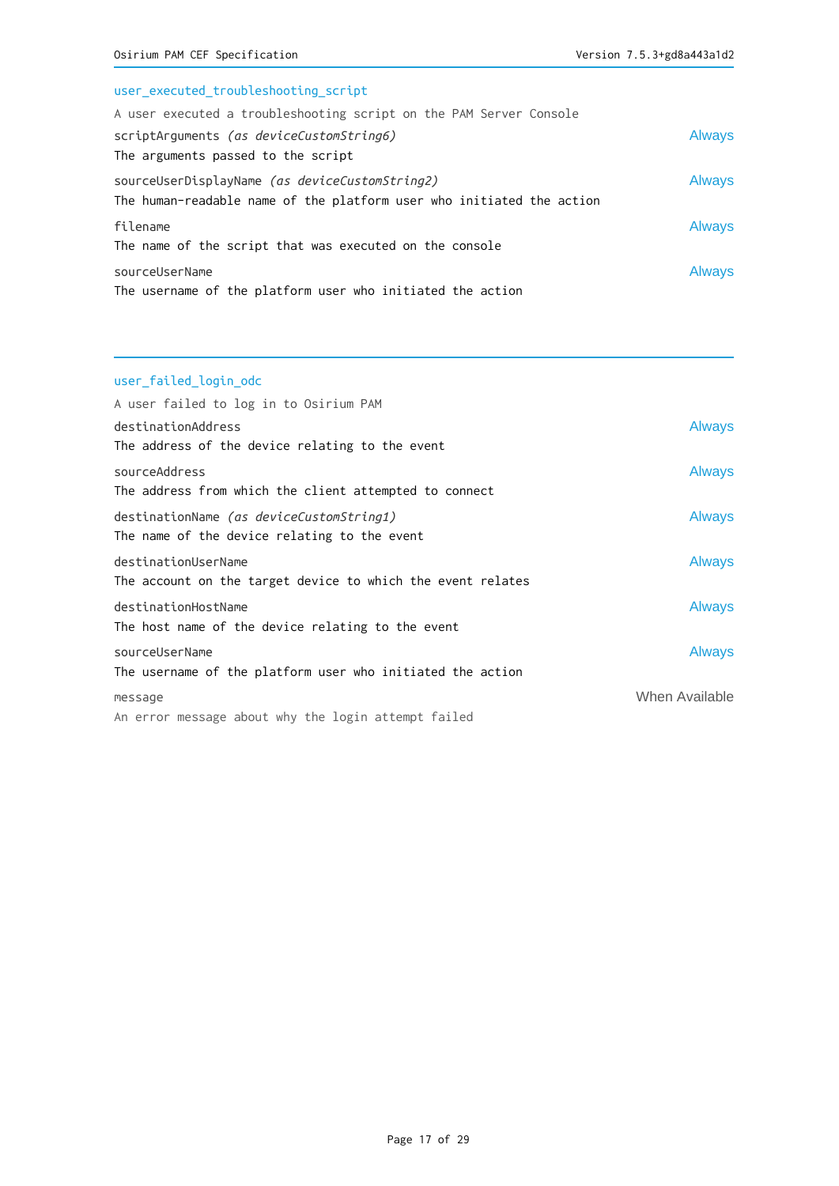# user\_executed\_troubleshooting\_script

| A user executed a troubleshooting script on the PAM Server Console                                                      |               |
|-------------------------------------------------------------------------------------------------------------------------|---------------|
| scriptArguments (as deviceCustomString6)                                                                                | <b>Always</b> |
| The arguments passed to the script                                                                                      |               |
| sourceUserDisplayName (as deviceCustomString2)<br>The human-readable name of the platform user who initiated the action | <b>Always</b> |
| filename                                                                                                                | <b>Always</b> |
| The name of the script that was executed on the console                                                                 |               |
| sourceUserName                                                                                                          | <b>Always</b> |
| The username of the platform user who initiated the action                                                              |               |

# user\_failed\_login\_odc

| A user failed to log in to Osirium PAM                      |                |
|-------------------------------------------------------------|----------------|
| destinationAddress                                          | <b>Always</b>  |
| The address of the device relating to the event             |                |
| sourceAddress                                               | <b>Always</b>  |
| The address from which the client attempted to connect      |                |
| destinationName <i>(as deviceCustomString1)</i>             | <b>Always</b>  |
| The name of the device relating to the event                |                |
| destinationUserName                                         | <b>Always</b>  |
| The account on the target device to which the event relates |                |
| destinationHostName                                         | <b>Always</b>  |
| The host name of the device relating to the event           |                |
| sourceUserName                                              | <b>Always</b>  |
| The username of the platform user who initiated the action  |                |
| message                                                     | When Available |
| An error message about why the login attempt failed         |                |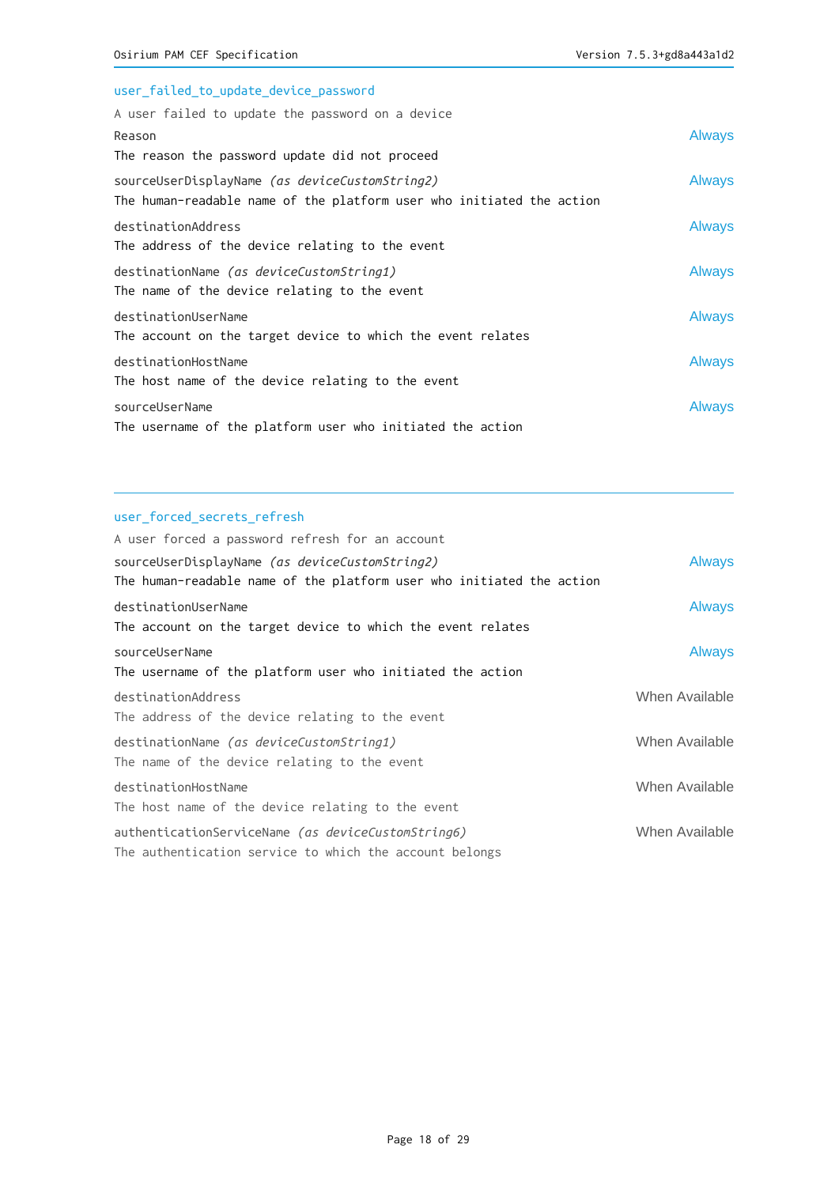| user_failed_to_update_device_password                                                                                   |               |
|-------------------------------------------------------------------------------------------------------------------------|---------------|
| A user failed to update the password on a device                                                                        |               |
| Reason                                                                                                                  | <b>Always</b> |
| The reason the password update did not proceed                                                                          |               |
| sourceUserDisplayName (as deviceCustomString2)<br>The human-readable name of the platform user who initiated the action | <b>Always</b> |
| destinationAddress<br>The address of the device relating to the event                                                   | <b>Always</b> |
| destinationName (as deviceCustomString1)<br>The name of the device relating to the event                                | <b>Always</b> |
| destinationUserName<br>The account on the target device to which the event relates                                      | <b>Always</b> |
| destinationHostName<br>The host name of the device relating to the event                                                | <b>Always</b> |
| sourceUserName<br>The username of the platform user who initiated the action                                            | <b>Always</b> |

## user\_forced\_secrets\_refresh

| A user forced a password refresh for an account                       |                |
|-----------------------------------------------------------------------|----------------|
| sourceUserDisplayName (as deviceCustomString2)                        | <b>Always</b>  |
| The human-readable name of the platform user who initiated the action |                |
| destinationUserName                                                   | <b>Always</b>  |
| The account on the target device to which the event relates           |                |
| sourceUserName                                                        | <b>Always</b>  |
| The username of the platform user who initiated the action            |                |
| destinationAddress                                                    | When Available |
| The address of the device relating to the event                       |                |
| destinationName (as deviceCustomString1)                              | When Available |
| The name of the device relating to the event                          |                |
| destinationHostName                                                   | When Available |
| The host name of the device relating to the event                     |                |
| authenticationServiceName (as deviceCustomString6)                    | When Available |
| The authentication service to which the account belongs               |                |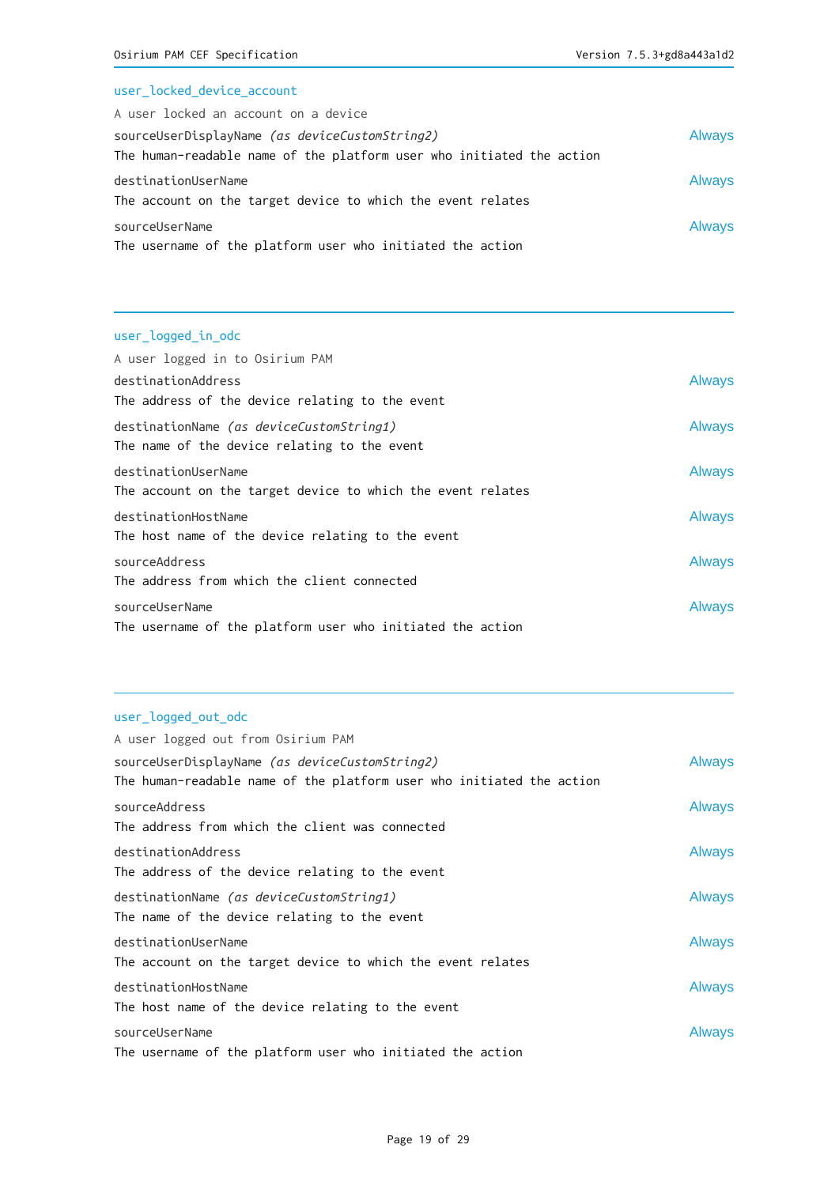# user\_locked\_device\_account

| A user locked an account on a device                                  |               |
|-----------------------------------------------------------------------|---------------|
| sourceUserDisplayName (as deviceCustomString2)                        | <b>Always</b> |
| The human-readable name of the platform user who initiated the action |               |
| destinationUserName                                                   | <b>Always</b> |
| The account on the target device to which the event relates           |               |
| sourceUserName                                                        | <b>Always</b> |
| The username of the platform user who initiated the action            |               |

# user\_logged\_in\_odc

| A user logged in to Osirium PAM                             |               |
|-------------------------------------------------------------|---------------|
| destinationAddress                                          | <b>Always</b> |
| The address of the device relating to the event             |               |
| destinationName (as deviceCustomString1)                    | <b>Always</b> |
| The name of the device relating to the event                |               |
| destinationUserName                                         | <b>Always</b> |
| The account on the target device to which the event relates |               |
| destinationHostName                                         | <b>Always</b> |
| The host name of the device relating to the event           |               |
| sourceAddress                                               | <b>Always</b> |
| The address from which the client connected                 |               |
| sourceUserName                                              | <b>Always</b> |
| The username of the platform user who initiated the action  |               |
|                                                             |               |

# user\_logged\_out\_odc

| A user logged out from Osirium PAM                                                                                      |               |
|-------------------------------------------------------------------------------------------------------------------------|---------------|
| sourceUserDisplayName (as deviceCustomString2)<br>The human-readable name of the platform user who initiated the action | <b>Always</b> |
| sourceAddress<br>The address from which the client was connected                                                        | <b>Always</b> |
| destinationAddress<br>The address of the device relating to the event                                                   | <b>Always</b> |
| destinationName (as deviceCustomString1)<br>The name of the device relating to the event                                | <b>Always</b> |
| destinationUserName<br>The account on the target device to which the event relates                                      | <b>Always</b> |
| destinationHostName<br>The host name of the device relating to the event                                                | <b>Always</b> |
| sourceUserName<br>The username of the platform user who initiated the action                                            | <b>Always</b> |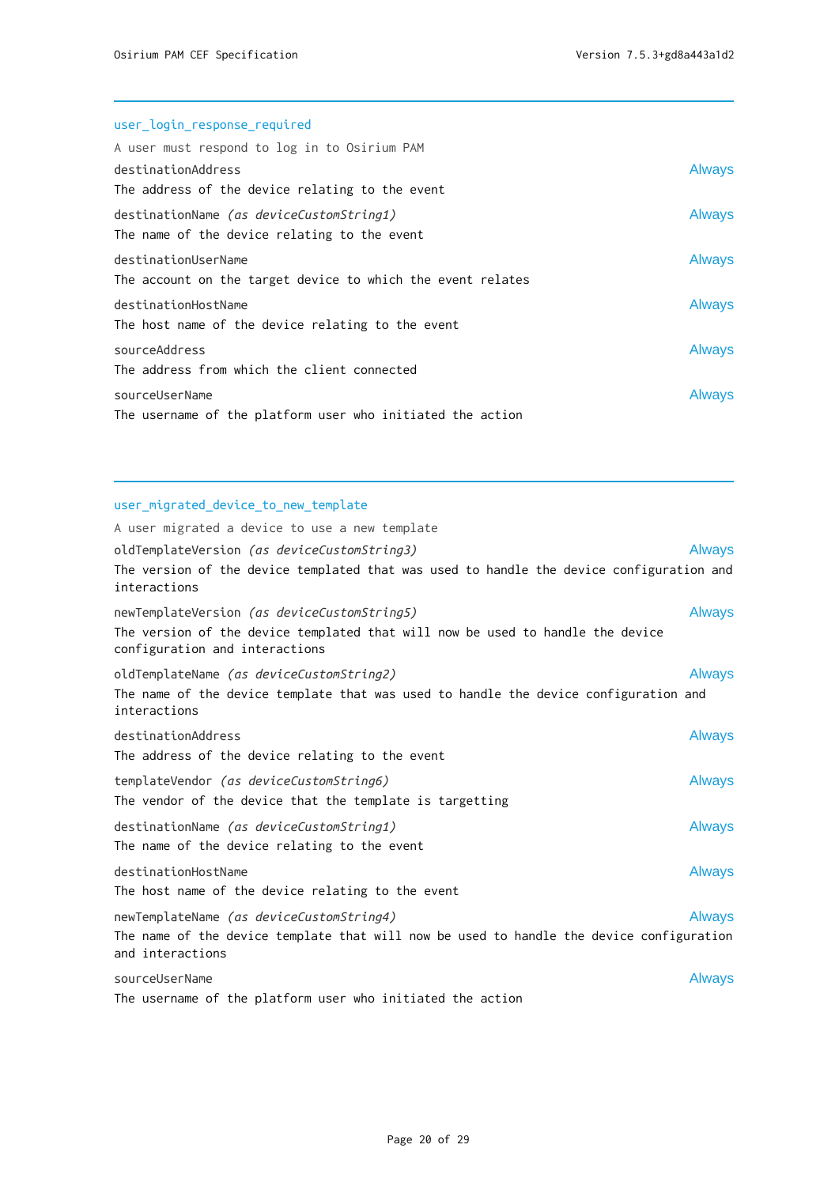# user\_login\_response\_required A user must respond to log in to Osirium PAM destinationAddress Always The address of the device relating to the event destinationName (as deviceCustomString1) and always The name of the device relating to the event destinationUserName Always The account on the target device to which the event relates destinationHostName **Always** The host name of the device relating to the event sourceAddress Always The address from which the client connected sourceUserName Always and the Contract of the Contract of the Contract of the Contract of the Contract of the Contract of the Contract of the Contract of the Contract of the Contract of the Contract of the Contract of the

## user\_migrated\_device\_to\_new\_template

The username of the platform user who initiated the action

| A user migrated a device to use a new template                                                                                                                         |               |
|------------------------------------------------------------------------------------------------------------------------------------------------------------------------|---------------|
| oldTemplateVersion (as deviceCustomString3)<br>The version of the device templated that was used to handle the device configuration and<br>interactions                | <b>Always</b> |
| newTemplateVersion <i>(as deviceCustomString5)</i><br>The version of the device templated that will now be used to handle the device<br>configuration and interactions | <b>Always</b> |
| oldTemplateName <i>(as deviceCustomString2)</i><br>The name of the device template that was used to handle the device configuration and<br>interactions                | <b>Always</b> |
| destinationAddress<br>The address of the device relating to the event                                                                                                  | <b>Always</b> |
| templateVendor <i>(as deviceCustomString6)</i><br>The vendor of the device that the template is targetting                                                             | <b>Always</b> |
| destinationName (as deviceCustomString1)<br>The name of the device relating to the event                                                                               | <b>Always</b> |
| destinationHostName<br>The host name of the device relating to the event                                                                                               | <b>Always</b> |
| newTemplateName <i>(as deviceCustomString4)</i><br>The name of the device template that will now be used to handle the device configuration<br>and interactions        | <b>Always</b> |
| sourceUserName<br>The username of the platform user who initiated the action                                                                                           | <b>Always</b> |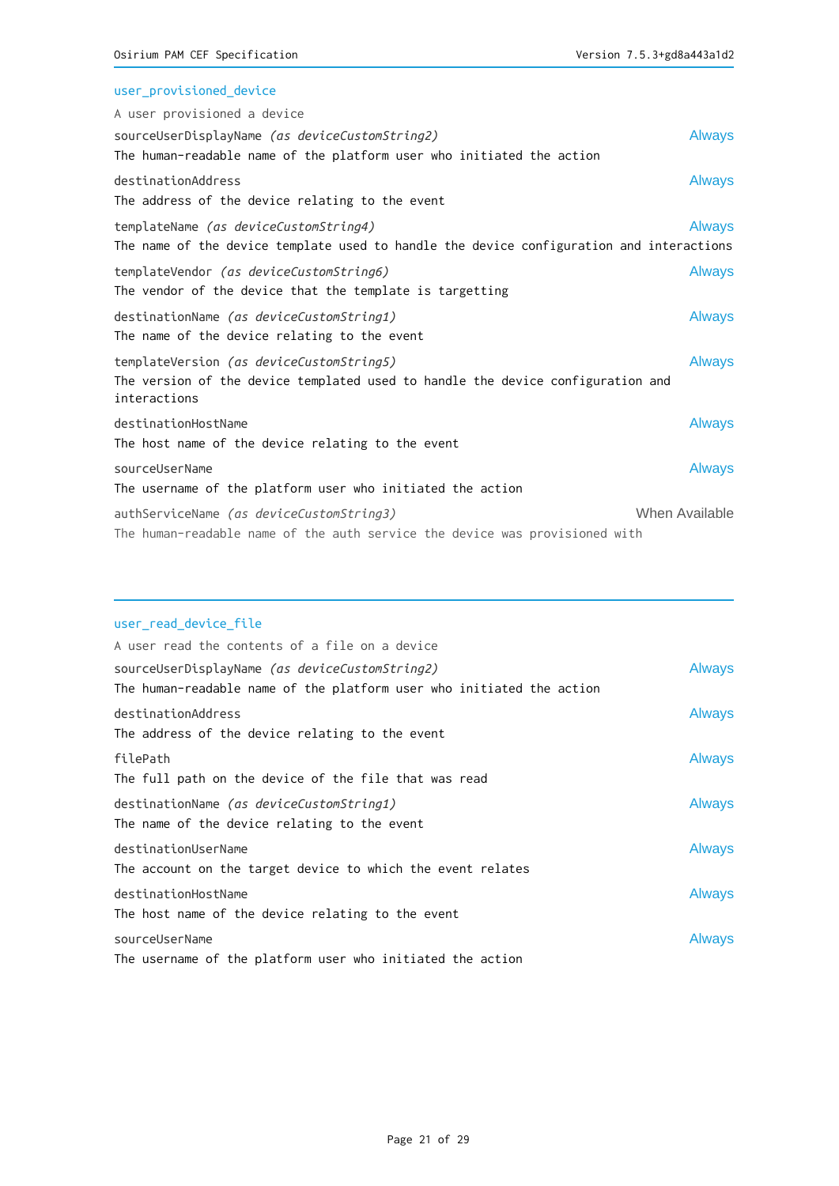| user_provisioned_device                                                                         |                |
|-------------------------------------------------------------------------------------------------|----------------|
| A user provisioned a device                                                                     |                |
| sourceUserDisplayName (as deviceCustomString2)                                                  | <b>Always</b>  |
| The human-readable name of the platform user who initiated the action                           |                |
| destinationAddress                                                                              | <b>Always</b>  |
| The address of the device relating to the event                                                 |                |
| templateName (as deviceCustomString4)                                                           | <b>Always</b>  |
| The name of the device template used to handle the device configuration and interactions        |                |
| templateVendor (as deviceCustomString6)                                                         | <b>Always</b>  |
| The vendor of the device that the template is targetting                                        |                |
| destinationName (as deviceCustomString1)                                                        | <b>Always</b>  |
| The name of the device relating to the event                                                    |                |
| templateVersion (as deviceCustomString5)                                                        | <b>Always</b>  |
| The version of the device templated used to handle the device configuration and<br>interactions |                |
| destinationHostName                                                                             | <b>Always</b>  |
| The host name of the device relating to the event                                               |                |
| sourceUserName                                                                                  | <b>Always</b>  |
| The username of the platform user who initiated the action                                      |                |
| authServiceName (as deviceCustomString3)                                                        | When Available |
| The human-readable name of the auth service the device was provisioned with                     |                |

## user\_read\_device\_file

| A user read the contents of a file on a device                        |               |
|-----------------------------------------------------------------------|---------------|
| sourceUserDisplayName (as deviceCustomString2)                        | <b>Always</b> |
| The human-readable name of the platform user who initiated the action |               |
| destinationAddress                                                    | <b>Always</b> |
| The address of the device relating to the event                       |               |
| filePath                                                              | <b>Always</b> |
| The full path on the device of the file that was read                 |               |
| destinationName (as deviceCustomString1)                              | <b>Always</b> |
| The name of the device relating to the event                          |               |
| destinationUserName                                                   | <b>Always</b> |
| The account on the target device to which the event relates           |               |
| destinationHostName                                                   | <b>Always</b> |
| The host name of the device relating to the event                     |               |
| sourceUserName                                                        | <b>Always</b> |
| The username of the platform user who initiated the action            |               |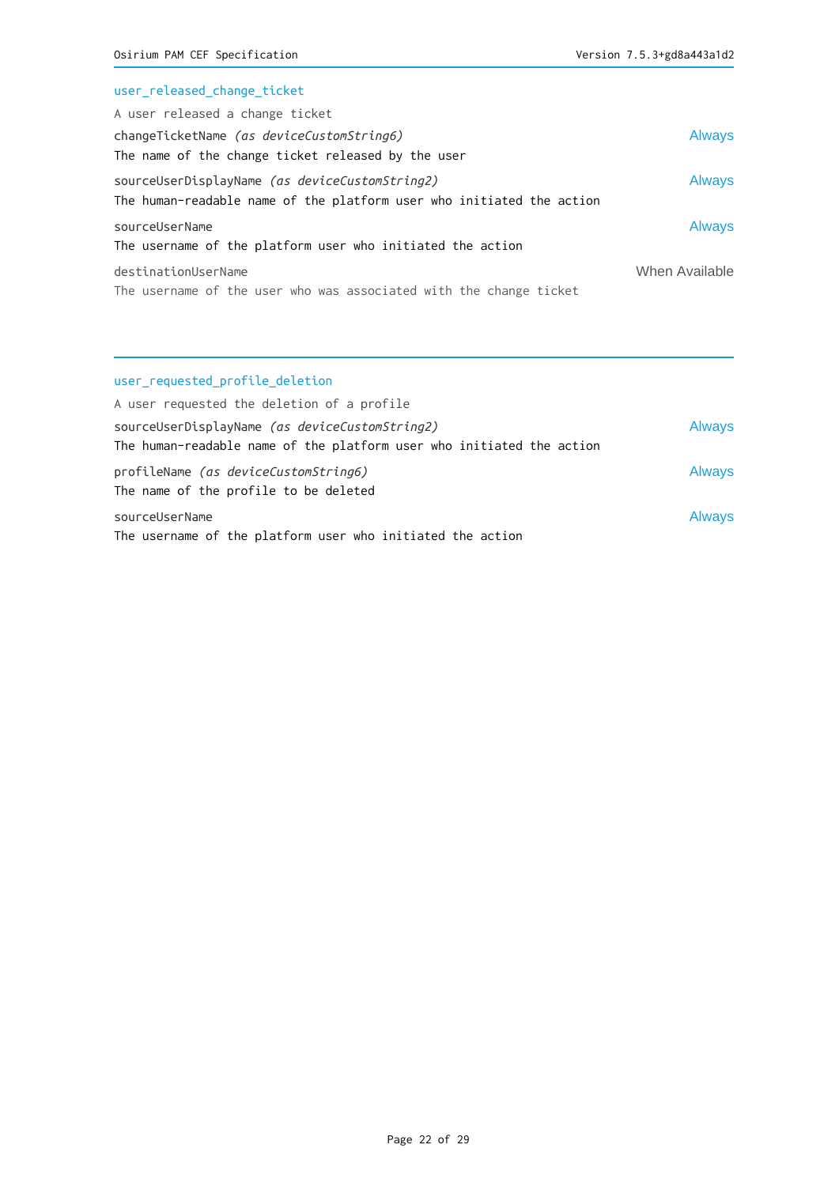# user\_released\_change\_ticket

| A user released a change ticket                                       |                |
|-----------------------------------------------------------------------|----------------|
| changeTicketName (as deviceCustomString6)                             | <b>Always</b>  |
| The name of the change ticket released by the user                    |                |
| sourceUserDisplayName (as deviceCustomString2)                        | Always         |
| The human-readable name of the platform user who initiated the action |                |
| sourceUserName                                                        | Always         |
| The username of the platform user who initiated the action            |                |
| destinationUserName                                                   | When Available |
| The username of the user who was associated with the change ticket    |                |

# user\_requested\_profile\_deletion

| A user requested the deletion of a profile                            |               |
|-----------------------------------------------------------------------|---------------|
| sourceUserDisplayName (as deviceCustomString2)                        | <b>Always</b> |
| The human-readable name of the platform user who initiated the action |               |
| profileName (as deviceCustomString6)                                  | <b>Always</b> |
| The name of the profile to be deleted                                 |               |
| sourceUserName                                                        | <b>Always</b> |
| The username of the platform user who initiated the action            |               |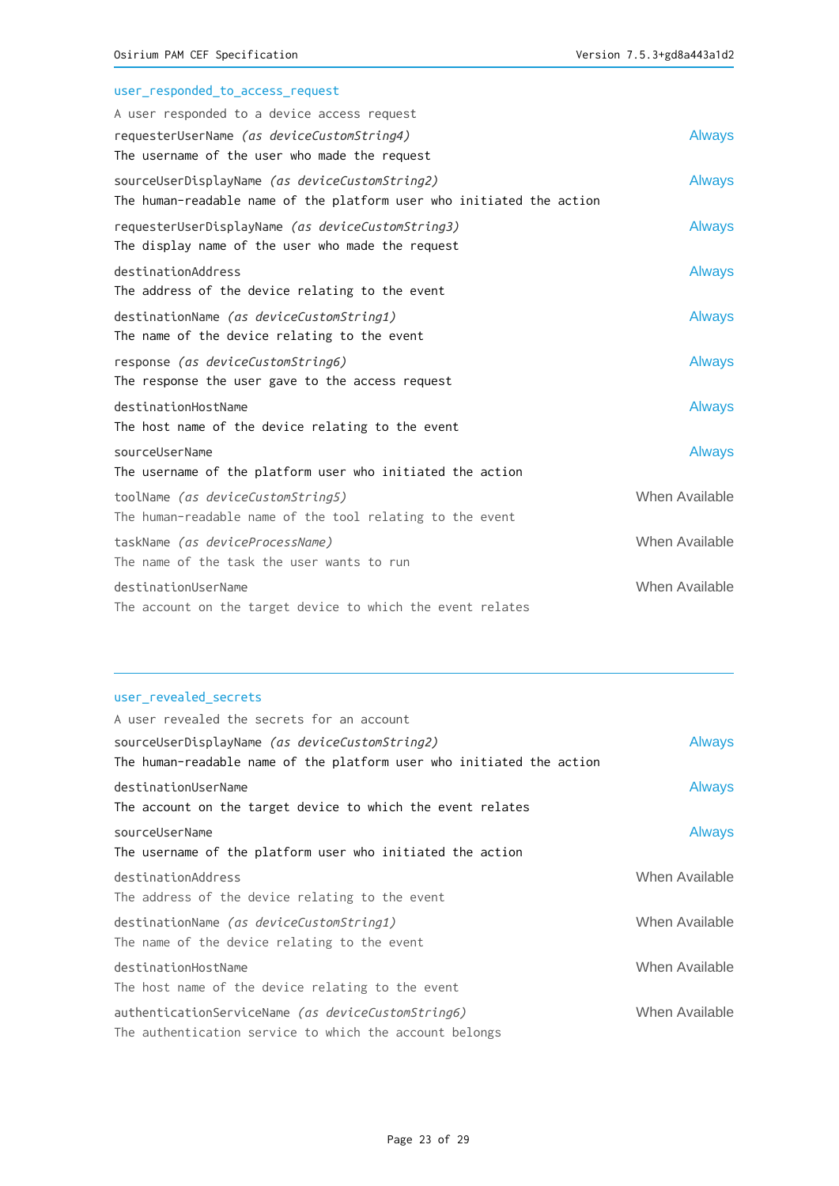| user_responded_to_access_request                                                                                        |                |
|-------------------------------------------------------------------------------------------------------------------------|----------------|
| A user responded to a device access request                                                                             |                |
| requesterUserName (as deviceCustomString4)                                                                              | <b>Always</b>  |
| The username of the user who made the request                                                                           |                |
| sourceUserDisplayName (as deviceCustomString2)<br>The human-readable name of the platform user who initiated the action | <b>Always</b>  |
| requesterUserDisplayName (as deviceCustomString3)<br>The display name of the user who made the request                  | <b>Always</b>  |
| destinationAddress<br>The address of the device relating to the event                                                   | <b>Always</b>  |
| destinationName (as deviceCustomString1)<br>The name of the device relating to the event                                | <b>Always</b>  |
| response (as deviceCustomString6)<br>The response the user gave to the access request                                   | <b>Always</b>  |
| destinationHostName<br>The host name of the device relating to the event                                                | <b>Always</b>  |
| sourceUserName<br>The username of the platform user who initiated the action                                            | <b>Always</b>  |
| toolName (as deviceCustomString5)<br>The human-readable name of the tool relating to the event                          | When Available |
| taskName (as deviceProcessName)<br>The name of the task the user wants to run                                           | When Available |
| destinationUserName<br>The account on the target device to which the event relates                                      | When Available |

## user\_revealed\_secrets

| A user revealed the secrets for an account                            |                |
|-----------------------------------------------------------------------|----------------|
| sourceUserDisplayName (as deviceCustomString2)                        | <b>Always</b>  |
| The human-readable name of the platform user who initiated the action |                |
| destinationUserName                                                   | <b>Always</b>  |
| The account on the target device to which the event relates           |                |
| sourceUserName                                                        | <b>Always</b>  |
| The username of the platform user who initiated the action            |                |
| destinationAddress                                                    | When Available |
| The address of the device relating to the event                       |                |
| destinationName (as deviceCustomString1)                              | When Available |
| The name of the device relating to the event                          |                |
| destinationHostName                                                   | When Available |
| The host name of the device relating to the event                     |                |
| authenticationServiceName (as deviceCustomString6)                    | When Available |
| The authentication service to which the account belongs               |                |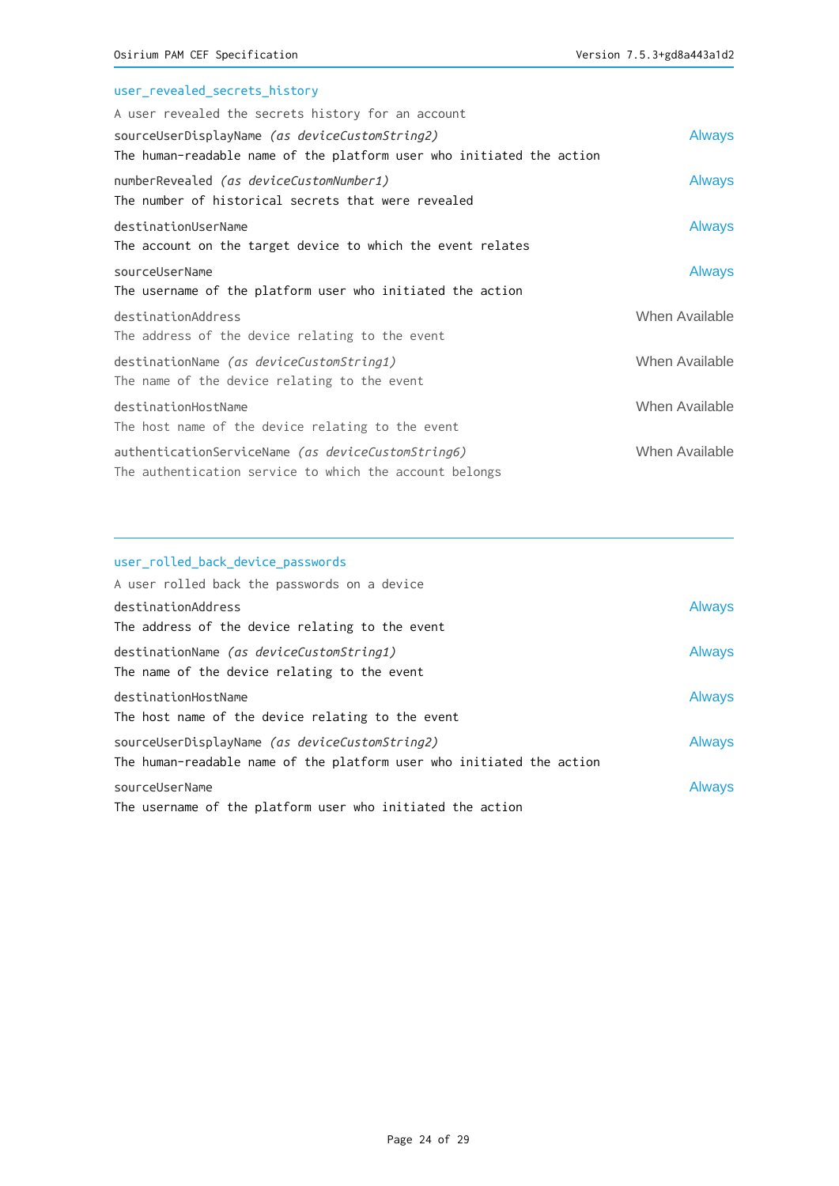| user_revealed_secrets_history                                         |                |
|-----------------------------------------------------------------------|----------------|
| A user revealed the secrets history for an account                    |                |
| sourceUserDisplayName (as deviceCustomString2)                        | <b>Always</b>  |
| The human-readable name of the platform user who initiated the action |                |
| numberRevealed (as deviceCustomNumber1)                               | <b>Always</b>  |
| The number of historical secrets that were revealed                   |                |
| destinationUserName                                                   | <b>Always</b>  |
| The account on the target device to which the event relates           |                |
| sourceUserName                                                        | <b>Always</b>  |
| The username of the platform user who initiated the action            |                |
| destinationAddress                                                    | When Available |
| The address of the device relating to the event                       |                |
| destinationName (as deviceCustomString1)                              | When Available |
| The name of the device relating to the event                          |                |
| destinationHostName                                                   | When Available |
| The host name of the device relating to the event                     |                |
| authenticationServiceName (as deviceCustomString6)                    | When Available |
| The authentication service to which the account belongs               |                |

# user\_rolled\_back\_device\_passwords A user rolled back the passwords on a device destinationAddress Always The address of the device relating to the event destinationName (as deviceCustomString1) and always The name of the device relating to the event destinationHostName Always The host name of the device relating to the event sourceUserDisplayName (as deviceCustomString2) and always The human-readable name of the platform user who initiated the action sourceUserName Always The username of the platform user who initiated the action

#### Page 24 of 29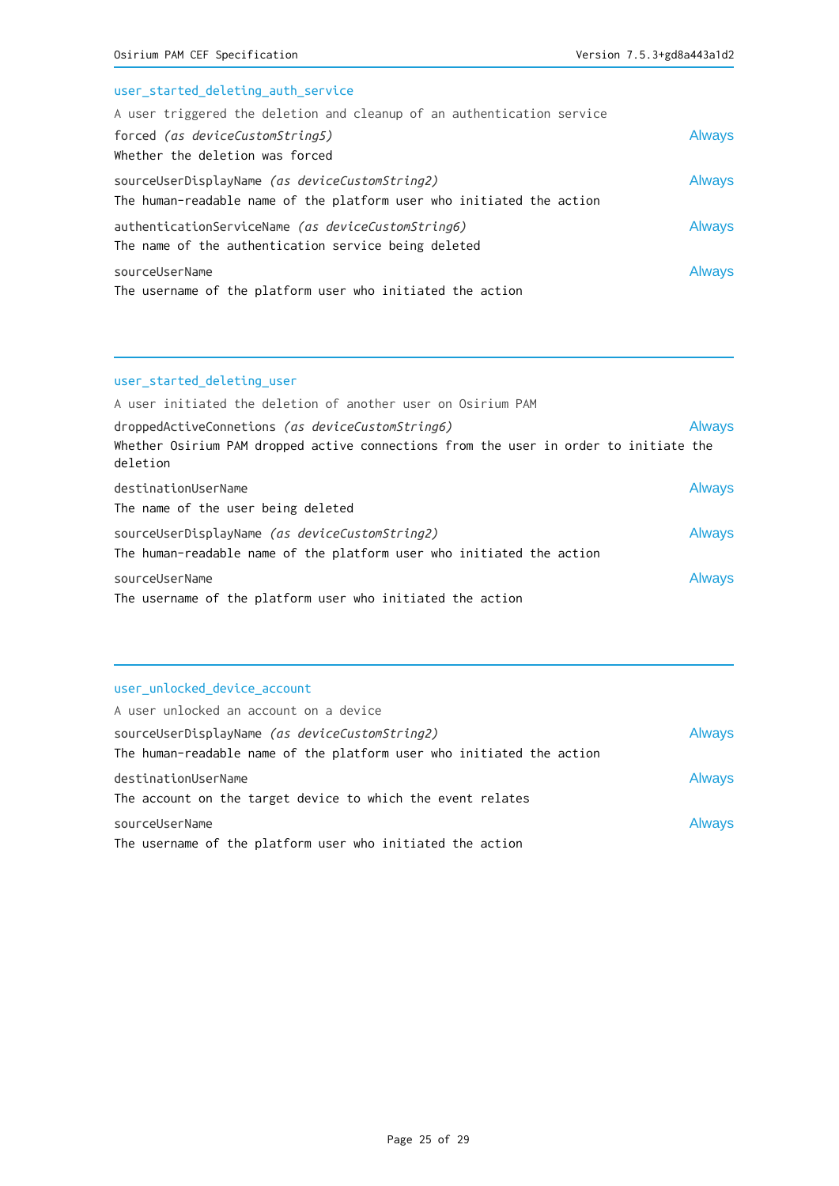| user_started_deleting_auth_service                                     |               |
|------------------------------------------------------------------------|---------------|
| A user triggered the deletion and cleanup of an authentication service |               |
| forced (as deviceCustomString5)                                        | <b>Always</b> |
| Whether the deletion was forced                                        |               |
| sourceUserDisplayName (as deviceCustomString2)                         | <b>Always</b> |
| The human-readable name of the platform user who initiated the action  |               |
| authenticationServiceName (as deviceCustomString6)                     | <b>Always</b> |
| The name of the authentication service being deleted                   |               |
| sourceUserName                                                         | <b>Always</b> |
| The username of the platform user who initiated the action             |               |

## user\_started\_deleting\_user

| A user initiated the deletion of another user on Osirium PAM                                      |               |
|---------------------------------------------------------------------------------------------------|---------------|
| droppedActiveConnetions (as deviceCustomString6)                                                  | <b>Always</b> |
| Whether Osirium PAM dropped active connections from the user in order to initiate the<br>deletion |               |
| destinationUserName                                                                               | <b>Always</b> |
| The name of the user being deleted                                                                |               |
| sourceUserDisplayName (as deviceCustomString2)                                                    | <b>Always</b> |
| The human-readable name of the platform user who initiated the action                             |               |
| sourceUserName                                                                                    | <b>Always</b> |
| The username of the platform user who initiated the action                                        |               |

## user\_unlocked\_device\_account

| A user unlocked an account on a device                                                                                         |               |
|--------------------------------------------------------------------------------------------------------------------------------|---------------|
| sourceUserDisplayName <i>(as deviceCustomString2)</i><br>The human-readable name of the platform user who initiated the action | <b>Always</b> |
| destinationUserName<br>The account on the target device to which the event relates                                             | <b>Always</b> |
| sourceUserName<br>The username of the platform user who initiated the action                                                   | <b>Always</b> |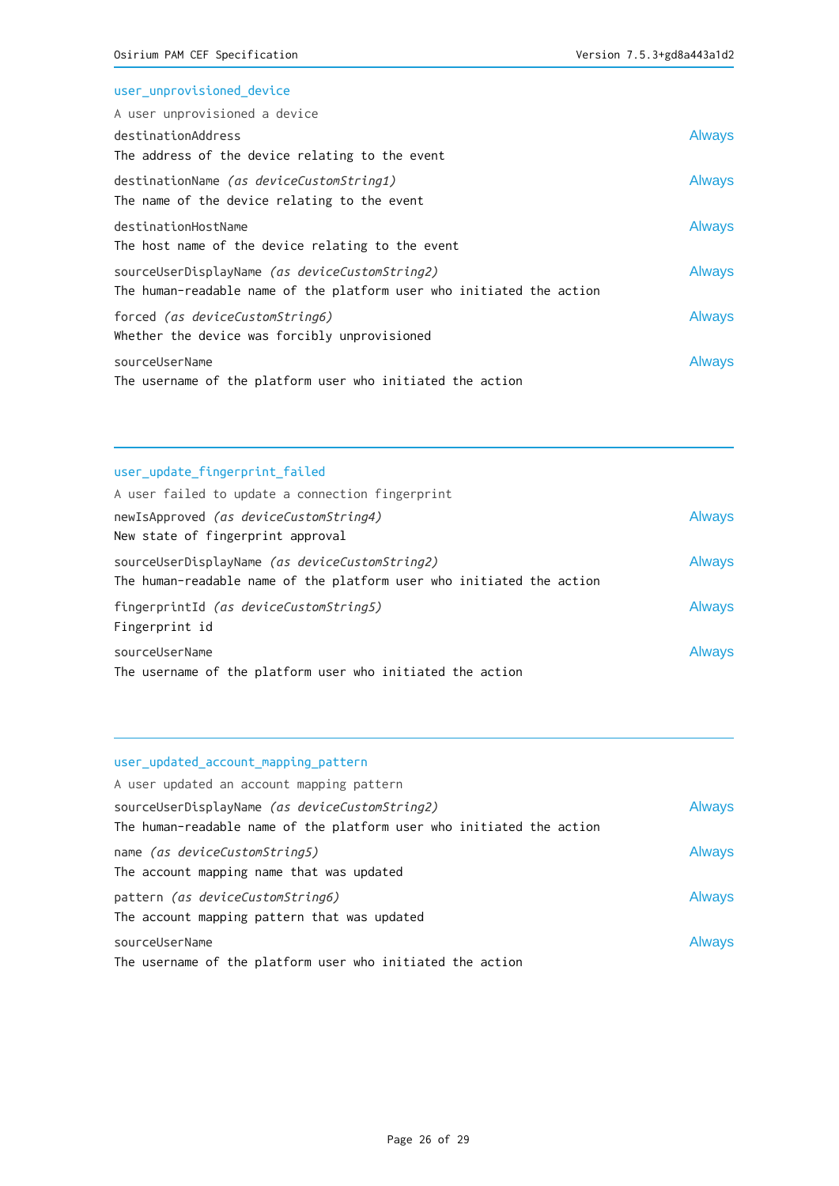| <b>Always</b> |
|---------------|
|               |
| <b>Always</b> |
|               |
| <b>Always</b> |
|               |
| <b>Always</b> |
|               |
| <b>Always</b> |
|               |
| <b>Always</b> |
|               |
|               |

# user\_update\_fingerprint\_failed

| A user failed to update a connection fingerprint                                                                        |               |
|-------------------------------------------------------------------------------------------------------------------------|---------------|
| newIsApproved (as deviceCustomString4)                                                                                  | <b>Always</b> |
| New state of fingerprint approval                                                                                       |               |
| sourceUserDisplayName (as deviceCustomString2)<br>The human-readable name of the platform user who initiated the action | <b>Always</b> |
| fingerprintId <i>(as deviceCustomString5)</i><br>Fingerprint id                                                         | <b>Always</b> |
| sourceUserName<br>The username of the platform user who initiated the action                                            | <b>Always</b> |

# user\_updated\_account\_mapping\_pattern

| A user updated an account mapping pattern                             |               |
|-----------------------------------------------------------------------|---------------|
| sourceUserDisplayName (as deviceCustomString2)                        | <b>Always</b> |
| The human-readable name of the platform user who initiated the action |               |
| name (as deviceCustomString5)                                         | <b>Always</b> |
| The account mapping name that was updated                             |               |
| pattern (as deviceCustomString6)                                      | <b>Always</b> |
| The account mapping pattern that was updated                          |               |
| sourceUserName                                                        | <b>Always</b> |
| The username of the platform user who initiated the action            |               |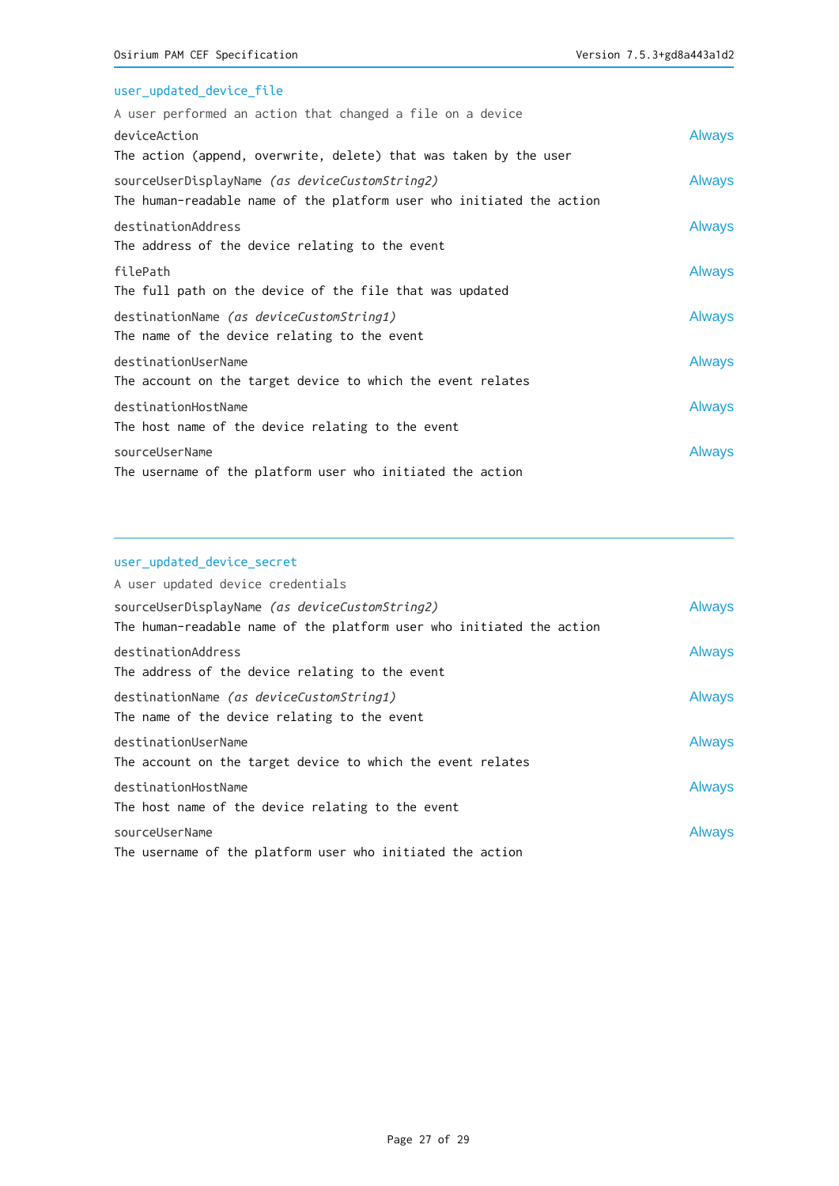# user\_updated\_device\_file

| A user performed an action that changed a file on a device            |               |
|-----------------------------------------------------------------------|---------------|
| deviceAction                                                          | <b>Always</b> |
| The action (append, overwrite, delete) that was taken by the user     |               |
| sourceUserDisplayName (as deviceCustomString2)                        | <b>Always</b> |
| The human-readable name of the platform user who initiated the action |               |
| destinationAddress                                                    | <b>Always</b> |
| The address of the device relating to the event                       |               |
| filePath                                                              | <b>Always</b> |
| The full path on the device of the file that was updated              |               |
| destinationName (as deviceCustomString1)                              | <b>Always</b> |
| The name of the device relating to the event                          |               |
| destinationUserName                                                   | <b>Always</b> |
| The account on the target device to which the event relates           |               |
| destinationHostName                                                   | <b>Always</b> |
| The host name of the device relating to the event                     |               |
| sourceUserName                                                        | <b>Always</b> |
| The username of the platform user who initiated the action            |               |

## user\_updated\_device\_secret

| A user updated device credentials                                     |               |
|-----------------------------------------------------------------------|---------------|
| sourceUserDisplayName (as deviceCustomString2)                        | <b>Always</b> |
| The human-readable name of the platform user who initiated the action |               |
| destinationAddress                                                    | <b>Always</b> |
| The address of the device relating to the event                       |               |
| destinationName (as deviceCustomString1)                              | <b>Always</b> |
| The name of the device relating to the event                          |               |
| destinationUserName                                                   | <b>Always</b> |
| The account on the target device to which the event relates           |               |
| destinationHostName                                                   | <b>Always</b> |
| The host name of the device relating to the event                     |               |
| sourceUserName                                                        | Always        |
| The username of the platform user who initiated the action            |               |
|                                                                       |               |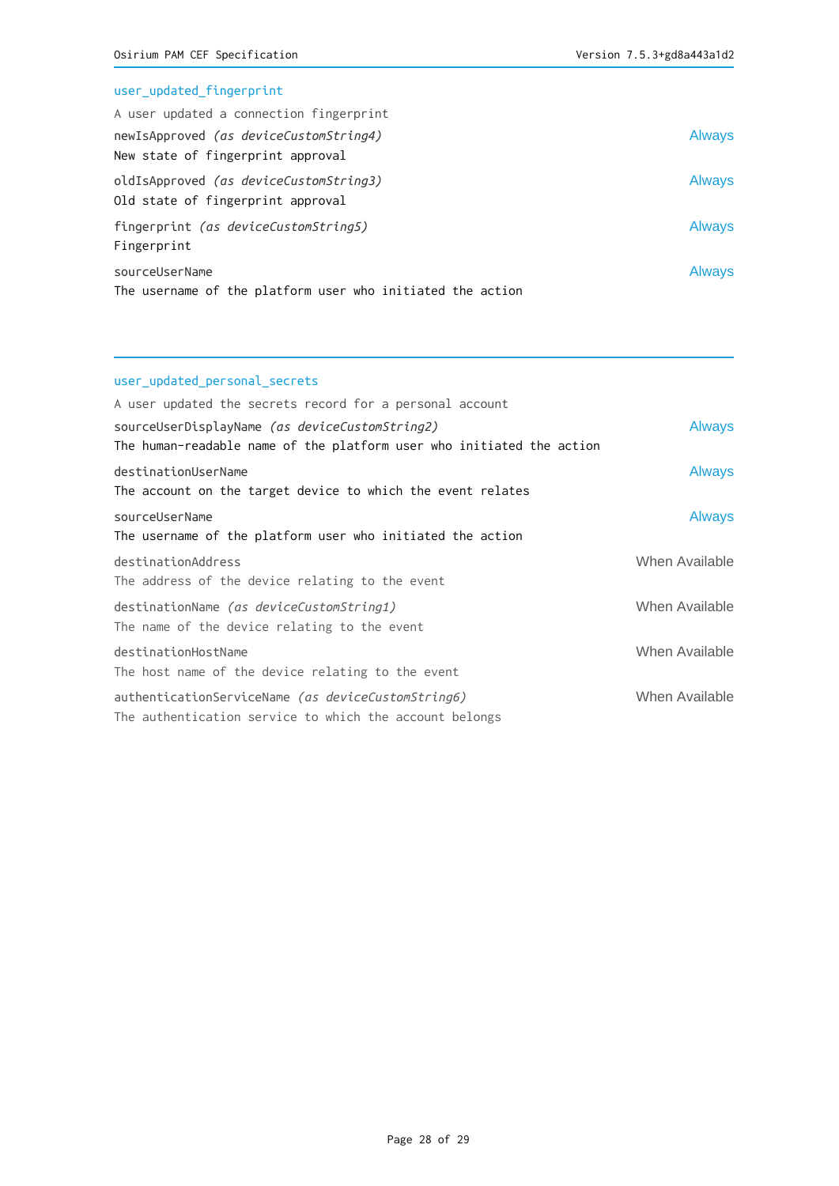# user\_updated\_fingerprint

| A user updated a connection fingerprint                                      |               |
|------------------------------------------------------------------------------|---------------|
| newIsApproved (as deviceCustomString4)<br>New state of fingerprint approval  | <b>Always</b> |
| oldIsApproved (as deviceCustomString3)<br>Old state of fingerprint approval  | <b>Always</b> |
| fingerprint (as deviceCustomString5)<br>Fingerprint                          | <b>Always</b> |
| sourceUserName<br>The username of the platform user who initiated the action | <b>Always</b> |

## user\_updated\_personal\_secrets

| A user updated the secrets record for a personal account              |                |
|-----------------------------------------------------------------------|----------------|
| sourceUserDisplayName (as deviceCustomString2)                        | <b>Always</b>  |
| The human-readable name of the platform user who initiated the action |                |
| destinationUserName                                                   | <b>Always</b>  |
| The account on the target device to which the event relates           |                |
| sourceUserName                                                        | <b>Always</b>  |
| The username of the platform user who initiated the action            |                |
| destinationAddress                                                    | When Available |
| The address of the device relating to the event                       |                |
| destinationName (as deviceCustomString1)                              | When Available |
| The name of the device relating to the event                          |                |
| destinationHostName                                                   | When Available |
| The host name of the device relating to the event                     |                |
| authenticationServiceName (as deviceCustomString6)                    | When Available |
| The authentication service to which the account belongs               |                |